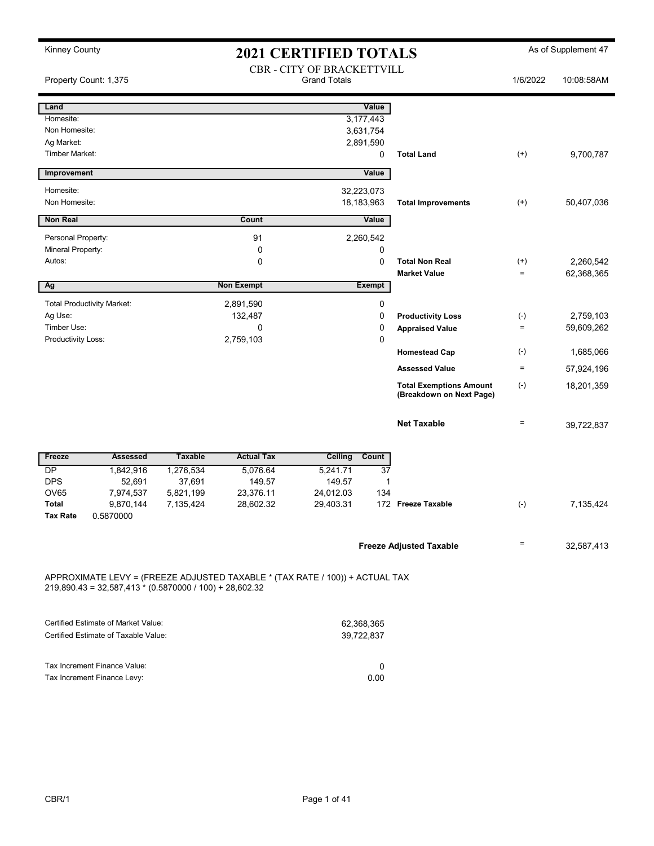| Property Count: 1,375                                       |                                                           |                |                                                                              | CBR - CITY OF BRACKETTVILL<br><b>Grand Totals</b> |               |                                                            | 1/6/2022             | 10:08:58AM              |
|-------------------------------------------------------------|-----------------------------------------------------------|----------------|------------------------------------------------------------------------------|---------------------------------------------------|---------------|------------------------------------------------------------|----------------------|-------------------------|
| Land                                                        |                                                           |                |                                                                              |                                                   | Value         |                                                            |                      |                         |
| Homesite:                                                   |                                                           |                |                                                                              | 3,177,443                                         |               |                                                            |                      |                         |
| Non Homesite:                                               |                                                           |                |                                                                              | 3,631,754                                         |               |                                                            |                      |                         |
| Ag Market:                                                  |                                                           |                |                                                                              | 2,891,590                                         |               |                                                            |                      |                         |
| <b>Timber Market:</b>                                       |                                                           |                |                                                                              |                                                   | 0             | <b>Total Land</b>                                          | $^{(+)}$             | 9,700,787               |
| Improvement                                                 |                                                           |                |                                                                              |                                                   | Value         |                                                            |                      |                         |
| Homesite:                                                   |                                                           |                |                                                                              | 32,223,073                                        |               |                                                            |                      |                         |
| Non Homesite:                                               |                                                           |                |                                                                              | 18,183,963                                        |               | <b>Total Improvements</b>                                  | $^{(+)}$             | 50,407,036              |
| Non Real                                                    |                                                           |                | Count                                                                        |                                                   | Value         |                                                            |                      |                         |
|                                                             |                                                           |                |                                                                              |                                                   |               |                                                            |                      |                         |
| Personal Property:<br>Mineral Property:                     |                                                           |                | 91<br>0                                                                      | 2,260,542                                         |               |                                                            |                      |                         |
| Autos:                                                      |                                                           |                |                                                                              |                                                   | 0             | <b>Total Non Real</b>                                      |                      |                         |
|                                                             |                                                           |                | 0                                                                            |                                                   | 0             | <b>Market Value</b>                                        | $^{(+)}$<br>$\equiv$ | 2,260,542<br>62,368,365 |
| Ag                                                          |                                                           |                | <b>Non Exempt</b>                                                            |                                                   | <b>Exempt</b> |                                                            |                      |                         |
|                                                             |                                                           |                |                                                                              |                                                   |               |                                                            |                      |                         |
| <b>Total Productivity Market:</b>                           |                                                           |                | 2,891,590                                                                    |                                                   | 0             |                                                            |                      |                         |
| Ag Use:                                                     |                                                           |                | 132,487                                                                      |                                                   | 0             | <b>Productivity Loss</b>                                   | $(-)$                | 2,759,103               |
| Timber Use:                                                 |                                                           |                | 0                                                                            |                                                   | $\mathbf 0$   | <b>Appraised Value</b>                                     | $\equiv$             | 59,609,262              |
| Productivity Loss:                                          |                                                           |                | 2,759,103                                                                    |                                                   | $\mathbf 0$   |                                                            |                      |                         |
|                                                             |                                                           |                |                                                                              |                                                   |               | <b>Homestead Cap</b>                                       | $(-)$                | 1,685,066               |
|                                                             |                                                           |                |                                                                              |                                                   |               | <b>Assessed Value</b>                                      | $\equiv$             | 57,924,196              |
|                                                             |                                                           |                |                                                                              |                                                   |               | <b>Total Exemptions Amount</b><br>(Breakdown on Next Page) | $(-)$                | 18,201,359              |
|                                                             |                                                           |                |                                                                              |                                                   |               | <b>Net Taxable</b>                                         | $\equiv$             | 39,722,837              |
| Freeze                                                      | <b>Assessed</b>                                           | <b>Taxable</b> | <b>Actual Tax</b>                                                            | <b>Ceiling</b>                                    | Count         |                                                            |                      |                         |
| DP                                                          | 1,842,916                                                 | 1,276,534      | 5,076.64                                                                     | 5,241.71                                          | 37            |                                                            |                      |                         |
| <b>DPS</b>                                                  | 52,691                                                    | 37,691         | 149.57                                                                       | 149.57                                            | 1             |                                                            |                      |                         |
| <b>OV65</b>                                                 | 7,974,537                                                 | 5,821,199      | 23,376.11                                                                    | 24,012.03                                         | 134           |                                                            |                      |                         |
| <b>Total</b>                                                | 9,870,144                                                 | 7,135,424      | 28,602.32                                                                    | 29,403.31                                         |               | 172 Freeze Taxable                                         | $(-)$                | 7,135,424               |
| <b>Tax Rate</b>                                             | 0.5870000                                                 |                |                                                                              |                                                   |               |                                                            |                      |                         |
|                                                             |                                                           |                |                                                                              |                                                   |               | <b>Freeze Adjusted Taxable</b>                             |                      | 32,587,413              |
|                                                             |                                                           |                |                                                                              |                                                   |               |                                                            |                      |                         |
|                                                             | $219,890.43 = 32,587,413 * (0.5870000 / 100) + 28,602.32$ |                | APPROXIMATE LEVY = (FREEZE ADJUSTED TAXABLE * (TAX RATE / 100)) + ACTUAL TAX |                                                   |               |                                                            |                      |                         |
|                                                             | Certified Estimate of Market Value:                       |                |                                                                              |                                                   |               |                                                            |                      |                         |
|                                                             | Certified Estimate of Taxable Value:                      |                |                                                                              | 62,368,365<br>39,722,837                          |               |                                                            |                      |                         |
|                                                             |                                                           |                |                                                                              |                                                   |               |                                                            |                      |                         |
|                                                             |                                                           |                |                                                                              |                                                   | 0             |                                                            |                      |                         |
| Tax Increment Finance Value:<br>Tax Increment Finance Levy: |                                                           |                |                                                                              | 0.00                                              |               |                                                            |                      |                         |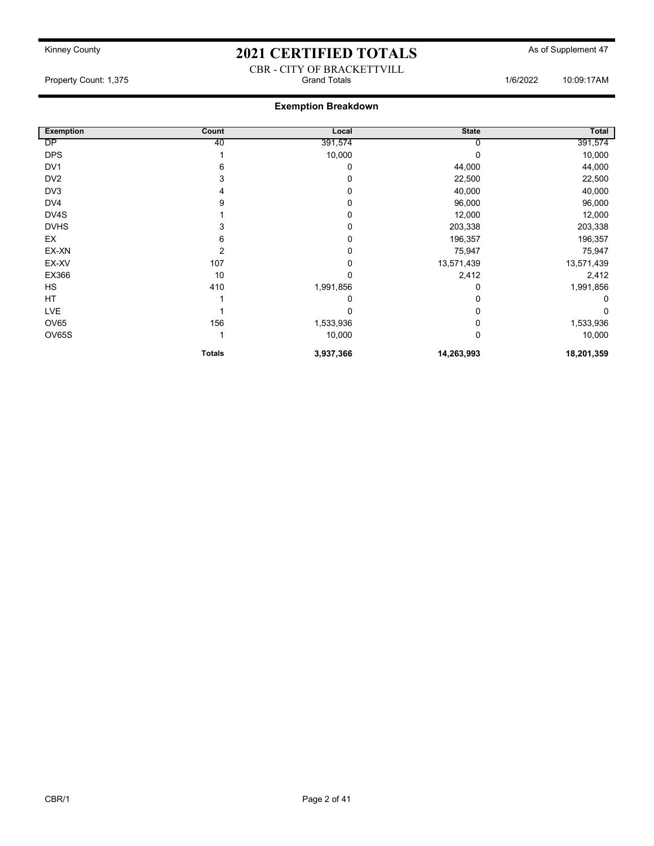#### CBR - CITY OF BRACKETTVILL Property Count: 1,375 **Property Count: 1,375** Crand Totals 1/6/2022 10:09:17AM

### Exemption Breakdown

| <b>Exemption</b> | Count         | Local     | <b>State</b> | Total      |
|------------------|---------------|-----------|--------------|------------|
| DP               | 40            | 391,574   |              | 391,574    |
| <b>DPS</b>       |               | 10,000    |              | 10,000     |
| DV <sub>1</sub>  | 6             | 0         | 44,000       | 44,000     |
| DV <sub>2</sub>  | 3             |           | 22,500       | 22,500     |
| DV <sub>3</sub>  |               | 0         | 40,000       | 40,000     |
| DV4              | 9             | 0         | 96,000       | 96,000     |
| DV4S             |               | 0         | 12,000       | 12,000     |
| <b>DVHS</b>      |               |           | 203,338      | 203,338    |
| EX               | 6             | 0         | 196,357      | 196,357    |
| EX-XN            | 2             | 0         | 75,947       | 75,947     |
| EX-XV            | 107           | 0         | 13,571,439   | 13,571,439 |
| EX366            | 10            |           | 2,412        | 2,412      |
| HS               | 410           | 1,991,856 | 0            | 1,991,856  |
| HT               |               | 0         | 0            |            |
| LVE              |               | 0         | ი            | 0          |
| <b>OV65</b>      | 156           | 1,533,936 |              | 1,533,936  |
| OV65S            |               | 10,000    | 0            | 10,000     |
|                  | <b>Totals</b> | 3,937,366 | 14,263,993   | 18,201,359 |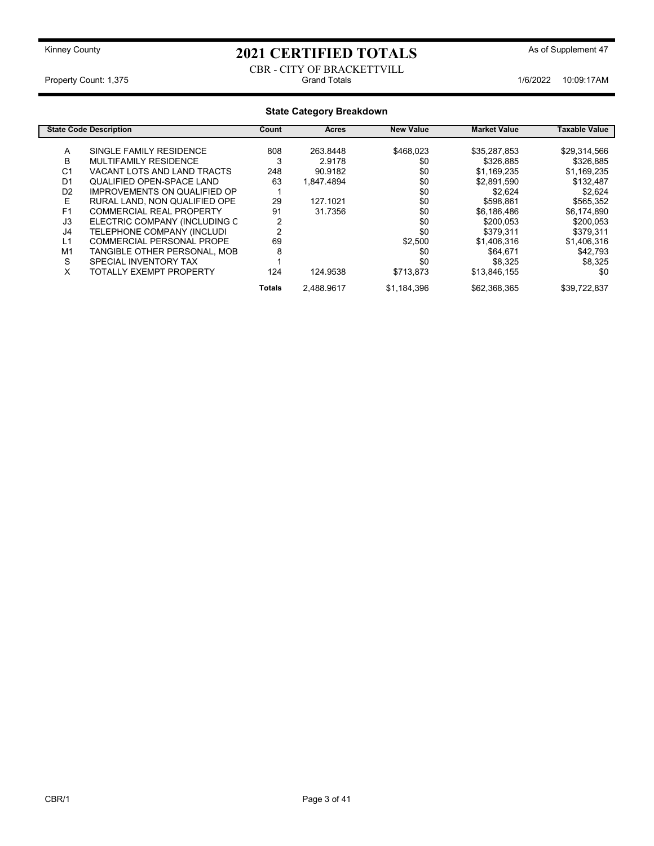#### CBR - CITY OF BRACKETTVILL Property Count: 1,375 **10:09:17AM** Grand Totals **1/6/2022 10:09:17AM**

### State Category Breakdown

|                | <b>State Code Description</b>       | Count  | <b>Acres</b> | <b>New Value</b> | <b>Market Value</b> | Taxable Value |
|----------------|-------------------------------------|--------|--------------|------------------|---------------------|---------------|
| A              | SINGLE FAMILY RESIDENCE             | 808    | 263.8448     | \$468,023        | \$35,287,853        | \$29,314,566  |
| В              | MULTIFAMILY RESIDENCE               | 3      | 2.9178       | \$0              | \$326,885           | \$326,885     |
| C <sub>1</sub> | VACANT LOTS AND LAND TRACTS         | 248    | 90.9182      | \$0              | \$1,169,235         | \$1,169,235   |
| D <sub>1</sub> | QUALIFIED OPEN-SPACE LAND           | 63     | 1.847.4894   | \$0              | \$2,891,590         | \$132,487     |
| D <sub>2</sub> | <b>IMPROVEMENTS ON QUALIFIED OP</b> |        |              | \$0              | \$2.624             | \$2,624       |
| E              | RURAL LAND, NON QUALIFIED OPE       | 29     | 127.1021     | \$0              | \$598,861           | \$565,352     |
| F <sub>1</sub> | <b>COMMERCIAL REAL PROPERTY</b>     | 91     | 31.7356      | \$0              | \$6,186,486         | \$6,174,890   |
| J3             | ELECTRIC COMPANY (INCLUDING C       | 2      |              | \$0              | \$200,053           | \$200,053     |
| J4             | TELEPHONE COMPANY (INCLUDI          | 2      |              | \$0              | \$379,311           | \$379,311     |
| L1             | COMMERCIAL PERSONAL PROPE           | 69     |              | \$2,500          | \$1,406,316         | \$1,406,316   |
| M <sub>1</sub> | TANGIBLE OTHER PERSONAL, MOB        | 8      |              | \$0              | \$64.671            | \$42,793      |
| S              | SPECIAL INVENTORY TAX               |        |              | \$0              | \$8,325             | \$8,325       |
| X              | TOTALLY EXEMPT PROPERTY             | 124    | 124.9538     | \$713,873        | \$13,846,155        | \$0           |
|                |                                     | Totals | 2.488.9617   | \$1,184,396      | \$62,368,365        | \$39.722.837  |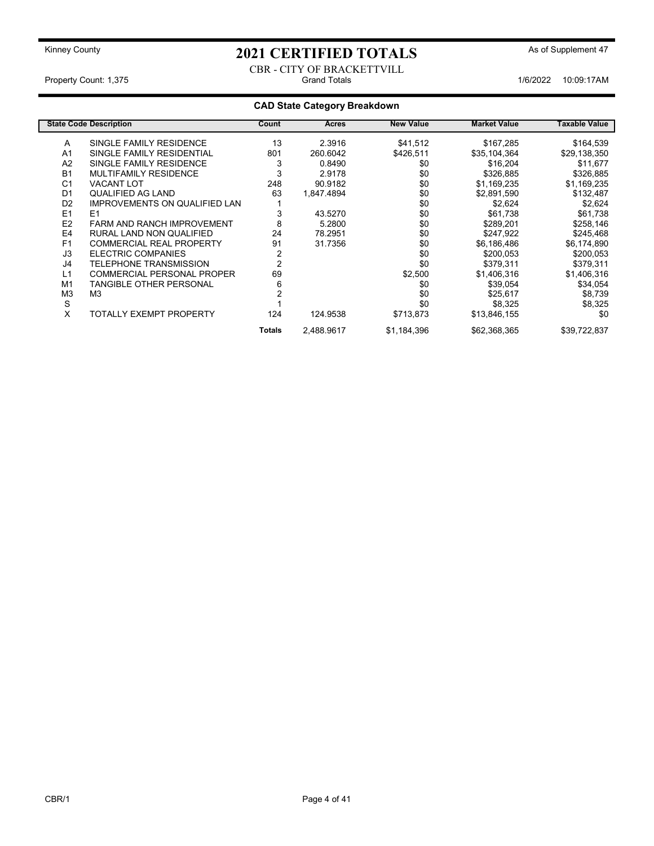CBR - CITY OF BRACKETTVILL Property Count: 1,375 **Count: 1,375** Crand Totals Count: 1,375 Crand Totals 1/6/2022 10:09:17AM

### CAD State Category Breakdown

|                | <b>State Code Description</b>        | Count          | Acres      | <b>New Value</b> | <b>Market Value</b> | Taxable Value |
|----------------|--------------------------------------|----------------|------------|------------------|---------------------|---------------|
| A              | SINGLE FAMILY RESIDENCE              | 13             | 2.3916     | \$41,512         | \$167,285           | \$164,539     |
| A <sub>1</sub> | SINGLE FAMILY RESIDENTIAL            | 801            | 260.6042   | \$426,511        | \$35,104,364        | \$29,138,350  |
| A <sub>2</sub> | SINGLE FAMILY RESIDENCE              | 3              | 0.8490     | \$0              | \$16,204            | \$11,677      |
| <b>B1</b>      | <b>MULTIFAMILY RESIDENCE</b>         | 3              | 2.9178     | \$0              | \$326,885           | \$326,885     |
| C <sub>1</sub> | <b>VACANT LOT</b>                    | 248            | 90.9182    | \$0              | \$1,169,235         | \$1,169,235   |
| D <sub>1</sub> | <b>QUALIFIED AG LAND</b>             | 63             | 1,847.4894 | \$0              | \$2,891,590         | \$132,487     |
| D <sub>2</sub> | <b>IMPROVEMENTS ON QUALIFIED LAN</b> |                |            | \$0              | \$2,624             | \$2,624       |
| E1             | E <sub>1</sub>                       | 3              | 43.5270    | \$0              | \$61,738            | \$61,738      |
| E <sub>2</sub> | <b>FARM AND RANCH IMPROVEMENT</b>    | 8              | 5.2800     | \$0              | \$289,201           | \$258,146     |
| E <sub>4</sub> | RURAL LAND NON QUALIFIED             | 24             | 78.2951    | \$0              | \$247,922           | \$245,468     |
| F <sub>1</sub> | <b>COMMERCIAL REAL PROPERTY</b>      | 91             | 31.7356    | \$0              | \$6,186,486         | \$6,174,890   |
| J3             | ELECTRIC COMPANIES                   | 2              |            | \$0              | \$200,053           | \$200,053     |
| J4             | TELEPHONE TRANSMISSION               | $\overline{2}$ |            | \$0              | \$379,311           | \$379,311     |
| L1             | <b>COMMERCIAL PERSONAL PROPER</b>    | 69             |            | \$2,500          | \$1,406,316         | \$1,406,316   |
| M <sub>1</sub> | TANGIBLE OTHER PERSONAL              | 6              |            | \$0              | \$39,054            | \$34,054      |
| M <sub>3</sub> | M <sub>3</sub>                       |                |            | \$0              | \$25,617            | \$8,739       |
| S              |                                      |                |            | \$0              | \$8,325             | \$8,325       |
| X              | TOTALLY EXEMPT PROPERTY              | 124            | 124.9538   | \$713,873        | \$13,846,155        | \$0           |
|                |                                      | <b>Totals</b>  | 2,488.9617 | \$1,184,396      | \$62,368,365        | \$39,722,837  |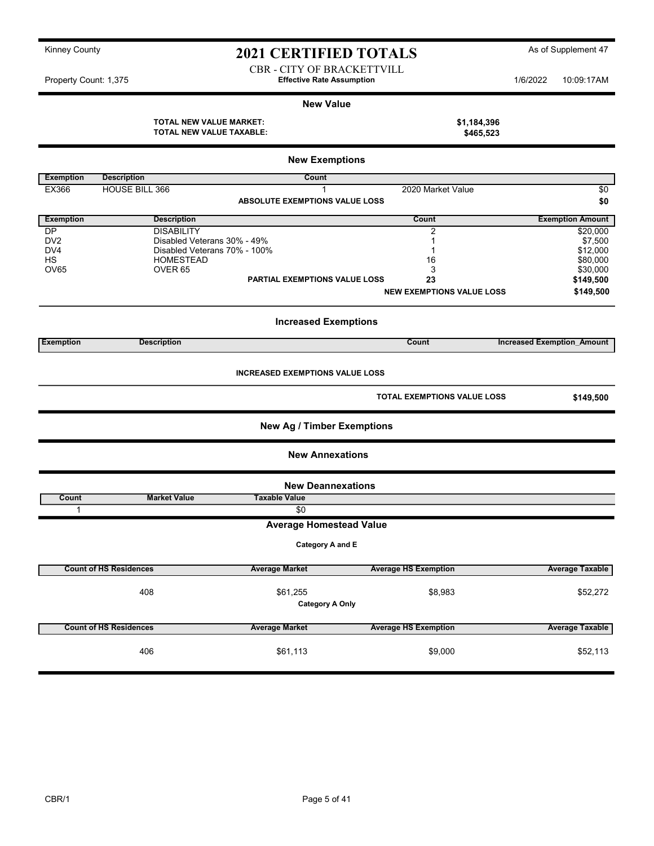CBR - CITY OF BRACKETTVILL Property Count: 1,375 **1/6/2022** 10:09:17AM

#### New Value

| TOTAL NEW VALUE MARKET:  | \$1,184,396 |
|--------------------------|-------------|
| TOTAL NEW VALUE TAXABLE: | \$465,523   |

|                  |                               | <b>New Exemptions</b>                  |                                    |                                   |
|------------------|-------------------------------|----------------------------------------|------------------------------------|-----------------------------------|
| <b>Exemption</b> | <b>Description</b>            | Count                                  |                                    |                                   |
| EX366            | <b>HOUSE BILL 366</b>         | 1                                      | 2020 Market Value                  | $\overline{50}$                   |
|                  |                               | ABSOLUTE EXEMPTIONS VALUE LOSS         |                                    |                                   |
|                  |                               |                                        |                                    | \$0                               |
| <b>Exemption</b> | <b>Description</b>            |                                        | Count                              | <b>Exemption Amount</b>           |
| <b>DP</b>        | <b>DISABILITY</b>             |                                        | 2                                  | \$20,000                          |
| DV <sub>2</sub>  | Disabled Veterans 30% - 49%   |                                        | 1                                  | \$7,500                           |
| DV <sub>4</sub>  | Disabled Veterans 70% - 100%  |                                        | 1                                  | \$12,000                          |
| <b>HS</b>        | <b>HOMESTEAD</b>              |                                        | 16                                 | \$80,000                          |
| OV65             | OVER <sub>65</sub>            |                                        | 3                                  | \$30,000                          |
|                  |                               | <b>PARTIAL EXEMPTIONS VALUE LOSS</b>   | 23                                 | \$149,500                         |
|                  |                               |                                        | <b>NEW EXEMPTIONS VALUE LOSS</b>   | \$149,500                         |
|                  |                               |                                        |                                    |                                   |
|                  |                               | <b>Increased Exemptions</b>            |                                    |                                   |
| <b>Exemption</b> | <b>Description</b>            |                                        | <b>Count</b>                       | <b>Increased Exemption Amount</b> |
|                  |                               |                                        |                                    |                                   |
|                  |                               | <b>INCREASED EXEMPTIONS VALUE LOSS</b> |                                    |                                   |
|                  |                               |                                        | <b>TOTAL EXEMPTIONS VALUE LOSS</b> | \$149,500                         |
|                  |                               | <b>New Ag / Timber Exemptions</b>      |                                    |                                   |
|                  |                               | <b>New Annexations</b>                 |                                    |                                   |
|                  |                               | <b>New Deannexations</b>               |                                    |                                   |
| Count            | <b>Market Value</b>           | <b>Taxable Value</b>                   |                                    |                                   |
| 1                |                               | \$0                                    |                                    |                                   |
|                  |                               | <b>Average Homestead Value</b>         |                                    |                                   |
|                  |                               | Category A and E                       |                                    |                                   |
|                  | <b>Count of HS Residences</b> | <b>Average Market</b>                  | <b>Average HS Exemption</b>        | <b>Average Taxable</b>            |
|                  |                               |                                        |                                    |                                   |
|                  | 408                           | \$61,255                               | \$8,983                            | \$52,272                          |
|                  |                               | <b>Category A Only</b>                 |                                    |                                   |
|                  |                               |                                        |                                    |                                   |
|                  | <b>Count of HS Residences</b> | <b>Average Market</b>                  | <b>Average HS Exemption</b>        | <b>Average Taxable</b>            |
|                  |                               |                                        |                                    |                                   |
|                  | 406                           | \$61,113                               | \$9,000                            | \$52,113                          |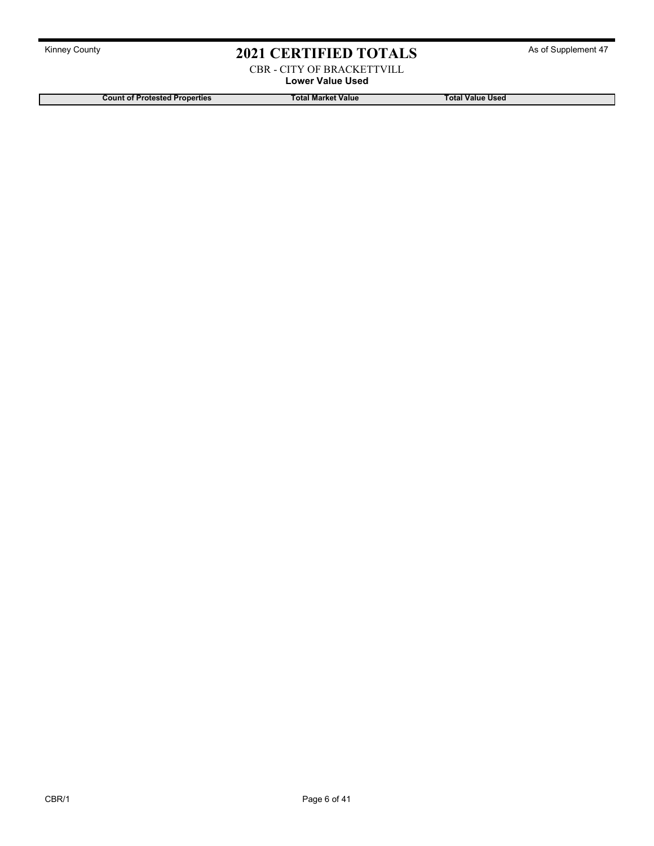CBR - CITY OF BRACKETTVILL Lower Value Used

Count of Protested Properties Total Market Value Total Market Value Total Value Used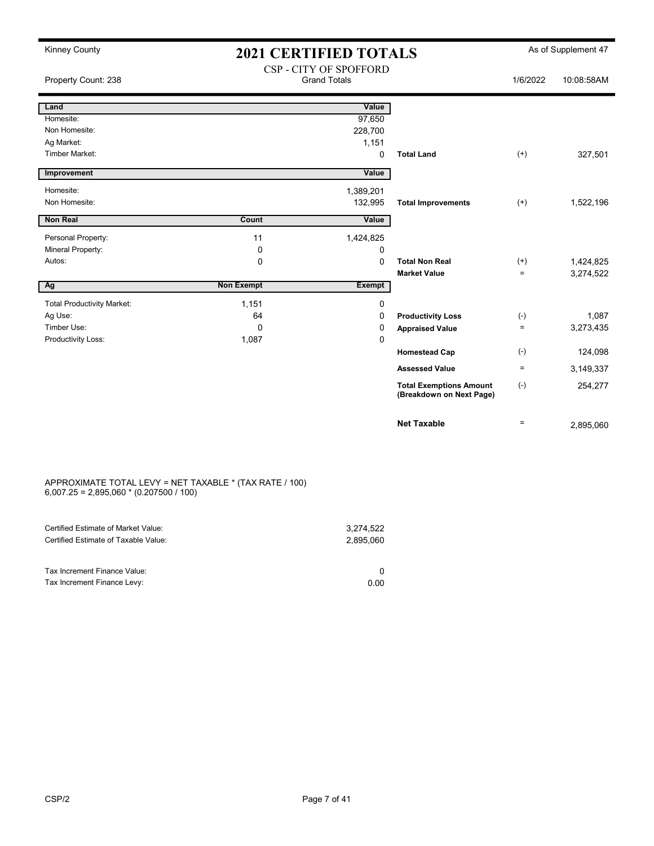| <b>Kinney County</b>              |                   | <b>2021 CERTIFIED TOTALS</b>                  |                                                            |                   | As of Supplement 47    |
|-----------------------------------|-------------------|-----------------------------------------------|------------------------------------------------------------|-------------------|------------------------|
| Property Count: 238               |                   | CSP - CITY OF SPOFFORD<br><b>Grand Totals</b> |                                                            | 1/6/2022          | 10:08:58AM             |
| Land                              |                   | Value                                         |                                                            |                   |                        |
| Homesite:                         |                   | 97,650                                        |                                                            |                   |                        |
| Non Homesite:                     |                   | 228,700                                       |                                                            |                   |                        |
| Ag Market:                        |                   | 1,151                                         |                                                            |                   |                        |
| <b>Timber Market:</b>             |                   | 0                                             | <b>Total Land</b>                                          | $(+)$             | 327,501                |
| Improvement                       |                   | Value                                         |                                                            |                   |                        |
| Homesite:                         |                   | 1,389,201                                     |                                                            |                   |                        |
| Non Homesite:                     |                   | 132,995                                       | <b>Total Improvements</b>                                  | $^{(+)}$          | 1,522,196              |
| <b>Non Real</b>                   | Count             | Value                                         |                                                            |                   |                        |
|                                   |                   |                                               |                                                            |                   |                        |
| Personal Property:                | 11                | 1,424,825                                     |                                                            |                   |                        |
| Mineral Property:<br>Autos:       | 0                 | 0                                             | <b>Total Non Real</b>                                      |                   |                        |
|                                   | 0                 | $\Omega$                                      | <b>Market Value</b>                                        | $(+)$<br>$\equiv$ | 1,424,825<br>3,274,522 |
| Ag                                | <b>Non Exempt</b> | <b>Exempt</b>                                 |                                                            |                   |                        |
|                                   |                   |                                               |                                                            |                   |                        |
| <b>Total Productivity Market:</b> | 1,151             | $\mathbf 0$                                   |                                                            |                   |                        |
| Ag Use:<br>Timber Use:            | 64                | 0                                             | <b>Productivity Loss</b>                                   | $(-)$<br>$\equiv$ | 1,087                  |
| Productivity Loss:                | 0<br>1,087        | 0<br>$\Omega$                                 | <b>Appraised Value</b>                                     |                   | 3,273,435              |
|                                   |                   |                                               | <b>Homestead Cap</b>                                       | $(-)$             | 124,098                |
|                                   |                   |                                               | <b>Assessed Value</b>                                      | $\equiv$          | 3,149,337              |
|                                   |                   |                                               | <b>Total Exemptions Amount</b><br>(Breakdown on Next Page) | $(-)$             | 254,277                |
|                                   |                   |                                               | <b>Net Taxable</b>                                         | $\equiv$          | 2,895,060              |

#### APPROXIMATE TOTAL LEVY = NET TAXABLE \* (TAX RATE / 100) 6,007.25 = 2,895,060 \* (0.207500 / 100)

| Certified Estimate of Market Value:                         | 3.274.522 |
|-------------------------------------------------------------|-----------|
| Certified Estimate of Taxable Value:                        | 2.895.060 |
| Tax Increment Finance Value:<br>Tax Increment Finance Levy: | 0.00      |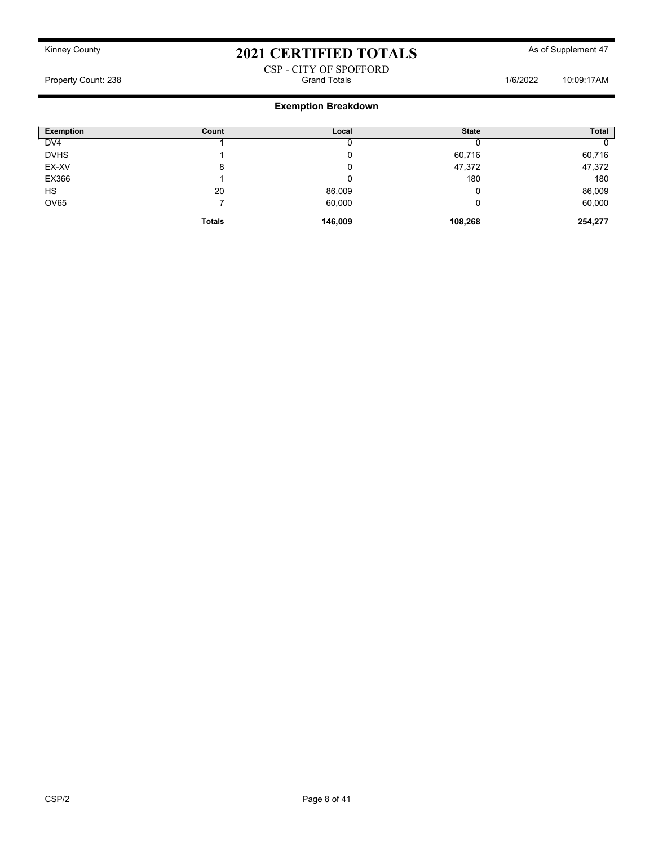#### CSP - CITY OF SPOFFORD Property Count: 238 **Property Count: 238** Crand Totals 1/6/2022 10:09:17AM

### Exemption Breakdown

| <b>Exemption</b> | Count         | Local   | <b>State</b> | <b>Total</b> |
|------------------|---------------|---------|--------------|--------------|
| DV <sub>4</sub>  |               |         |              |              |
| <b>DVHS</b>      |               |         | 60,716       | 60,716       |
| EX-XV            | 8             |         | 47,372       | 47,372       |
| EX366            |               |         | 180          | 180          |
| HS               | 20            | 86,009  |              | 86,009       |
| <b>OV65</b>      |               | 60,000  |              | 60,000       |
|                  | <b>Totals</b> | 146,009 | 108,268      | 254,277      |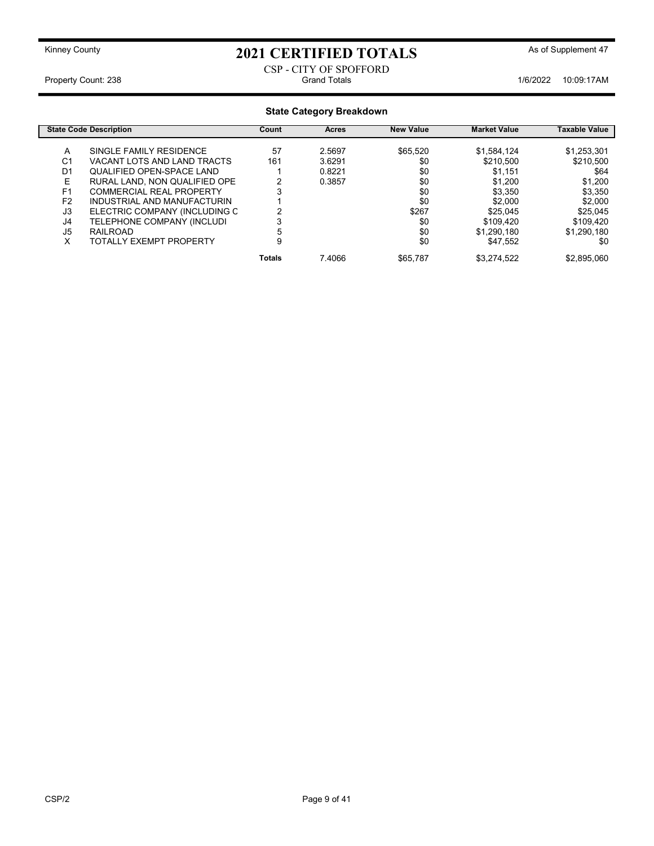#### CSP - CITY OF SPOFFORD Property Count: 238 1/6/2022 10:09:17AM Grand Totals

#### State Category Breakdown

|                | <b>State Code Description</b> | Count         | <b>Acres</b> | <b>New Value</b> | <b>Market Value</b> | Taxable Value |
|----------------|-------------------------------|---------------|--------------|------------------|---------------------|---------------|
| A              | SINGLE FAMILY RESIDENCE       | 57            | 2.5697       | \$65,520         | \$1,584,124         | \$1,253,301   |
| C1             | VACANT LOTS AND LAND TRACTS   | 161           | 3.6291       | \$0              | \$210,500           | \$210,500     |
| D1             | QUALIFIED OPEN-SPACE LAND     |               | 0.8221       | \$0              | \$1,151             | \$64          |
| Е              | RURAL LAND, NON QUALIFIED OPE |               | 0.3857       | \$0              | \$1,200             | \$1,200       |
| F <sub>1</sub> | COMMERCIAL REAL PROPERTY      |               |              | \$0              | \$3.350             | \$3,350       |
| F <sub>2</sub> | INDUSTRIAL AND MANUFACTURIN   |               |              | \$0              | \$2,000             | \$2,000       |
| J3             | ELECTRIC COMPANY (INCLUDING C |               |              | \$267            | \$25.045            | \$25,045      |
| J4             | TELEPHONE COMPANY (INCLUDI    |               |              | \$0              | \$109.420           | \$109.420     |
| J5             | RAILROAD                      | 5             |              | \$0              | \$1,290,180         | \$1,290,180   |
| x              | TOTALLY EXEMPT PROPERTY       | 9             |              | \$0              | \$47,552            | \$0           |
|                |                               | <b>Totals</b> | 7.4066       | \$65,787         | \$3,274,522         | \$2,895,060   |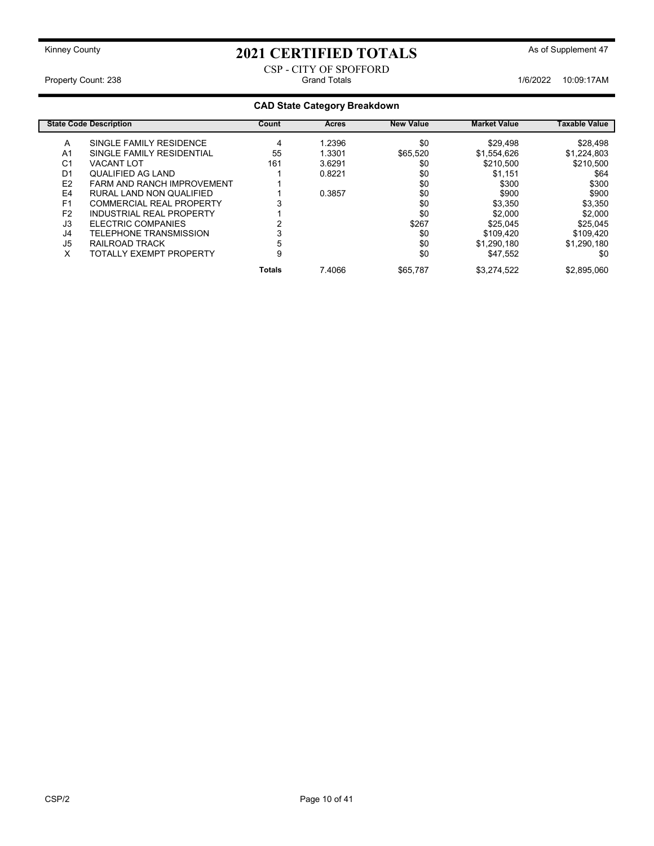#### CSP - CITY OF SPOFFORD Property Count: 238 **Property Count: 238** Crand Totals **Grand Totals** 1/6/2022 10:09:17AM

### CAD State Category Breakdown

|                | <b>State Code Description</b>     | Count         | <b>Acres</b> | <b>New Value</b> | <b>Market Value</b> | <b>Taxable Value</b> |
|----------------|-----------------------------------|---------------|--------------|------------------|---------------------|----------------------|
| A              | SINGLE FAMILY RESIDENCE           | 4             | 1.2396       | \$0              | \$29,498            | \$28,498             |
| A <sub>1</sub> | SINGLE FAMILY RESIDENTIAL         | 55            | 1.3301       | \$65,520         | \$1,554,626         | \$1.224.803          |
| C <sub>1</sub> | <b>VACANT LOT</b>                 | 161           | 3.6291       | \$0              | \$210,500           | \$210,500            |
| D <sub>1</sub> | QUALIFIED AG LAND                 |               | 0.8221       | \$0              | \$1,151             | \$64                 |
| E <sub>2</sub> | <b>FARM AND RANCH IMPROVEMENT</b> |               |              | \$0              | \$300               | \$300                |
| E4             | RURAL LAND NON QUALIFIED          |               | 0.3857       | \$0              | \$900               | \$900                |
| F <sub>1</sub> | <b>COMMERCIAL REAL PROPERTY</b>   |               |              | \$0              | \$3,350             | \$3,350              |
| F <sub>2</sub> | INDUSTRIAL REAL PROPERTY          |               |              | \$0              | \$2,000             | \$2,000              |
| J3             | ELECTRIC COMPANIES                |               |              | \$267            | \$25.045            | \$25.045             |
| J4             | TELEPHONE TRANSMISSION            |               |              | \$0              | \$109.420           | \$109.420            |
| J <sub>5</sub> | RAILROAD TRACK                    | 5             |              | \$0              | \$1,290,180         | \$1.290.180          |
| х              | TOTALLY EXEMPT PROPERTY           | 9             |              | \$0              | \$47,552            | \$0                  |
|                |                                   | <b>Totals</b> | 7.4066       | \$65.787         | \$3.274.522         | \$2.895.060          |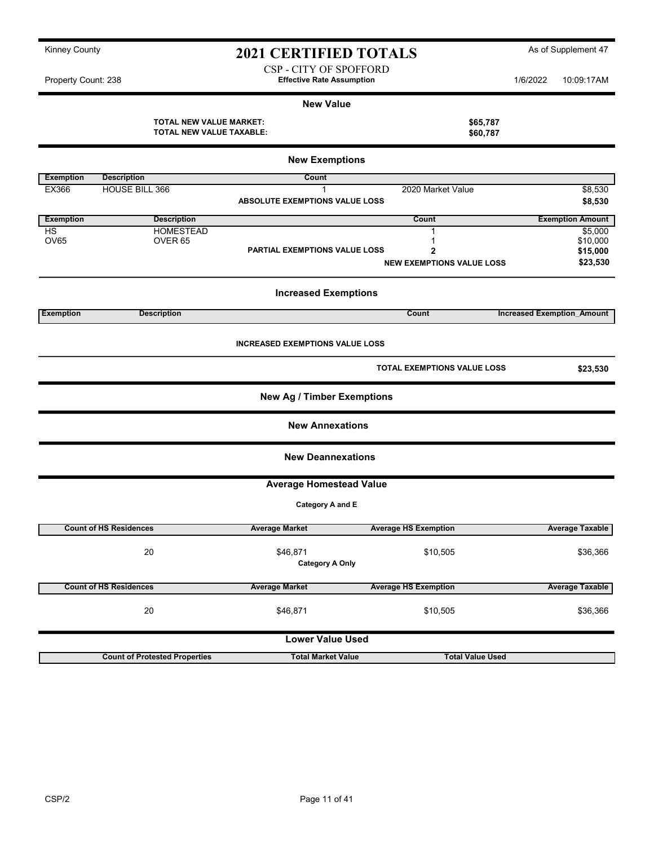| Kinney County |  |
|---------------|--|
|---------------|--|

CSP - CITY OF SPOFFORD Property Count: 238 **1/6/2022** 10:09:17AM

#### New Value

TOTAL NEW VALUE MARKET:<br>
TOTAL NEW VALUE TAXABLE: \$60,787 TOTAL NEW VALUE TAXABLE:

|                  | <b>New Exemptions</b>                |                                        |                                    |                                   |  |  |  |  |
|------------------|--------------------------------------|----------------------------------------|------------------------------------|-----------------------------------|--|--|--|--|
| <b>Exemption</b> | <b>Description</b>                   | Count                                  |                                    |                                   |  |  |  |  |
| EX366            | HOUSE BILL 366                       | $\mathbf 1$                            | 2020 Market Value                  | \$8,530                           |  |  |  |  |
|                  |                                      | ABSOLUTE EXEMPTIONS VALUE LOSS         |                                    | \$8,530                           |  |  |  |  |
| <b>Exemption</b> | <b>Description</b>                   |                                        | Count                              | <b>Exemption Amount</b>           |  |  |  |  |
| HS               | <b>HOMESTEAD</b>                     |                                        | 1                                  | \$5,000                           |  |  |  |  |
| <b>OV65</b>      | OVER <sub>65</sub>                   | PARTIAL EXEMPTIONS VALUE LOSS          | 1<br>$\overline{2}$                | \$10,000<br>\$15,000              |  |  |  |  |
|                  |                                      |                                        | <b>NEW EXEMPTIONS VALUE LOSS</b>   | \$23,530                          |  |  |  |  |
|                  |                                      | <b>Increased Exemptions</b>            |                                    |                                   |  |  |  |  |
| <b>Exemption</b> | <b>Description</b>                   |                                        | Count                              | <b>Increased Exemption Amount</b> |  |  |  |  |
|                  |                                      | <b>INCREASED EXEMPTIONS VALUE LOSS</b> |                                    |                                   |  |  |  |  |
|                  |                                      |                                        | <b>TOTAL EXEMPTIONS VALUE LOSS</b> | \$23,530                          |  |  |  |  |
|                  |                                      | <b>New Ag / Timber Exemptions</b>      |                                    |                                   |  |  |  |  |
|                  |                                      | <b>New Annexations</b>                 |                                    |                                   |  |  |  |  |
|                  |                                      | <b>New Deannexations</b>               |                                    |                                   |  |  |  |  |
|                  |                                      | <b>Average Homestead Value</b>         |                                    |                                   |  |  |  |  |
|                  |                                      | Category A and E                       |                                    |                                   |  |  |  |  |
|                  | <b>Count of HS Residences</b>        | <b>Average Market</b>                  | <b>Average HS Exemption</b>        | <b>Average Taxable</b>            |  |  |  |  |
|                  | 20                                   | \$46,871<br><b>Category A Only</b>     | \$10,505                           | \$36,366                          |  |  |  |  |
|                  | <b>Count of HS Residences</b>        | <b>Average Market</b>                  | <b>Average HS Exemption</b>        | <b>Average Taxable</b>            |  |  |  |  |
|                  | 20                                   | \$46,871                               | \$10,505                           | \$36,366                          |  |  |  |  |
|                  |                                      | <b>Lower Value Used</b>                |                                    |                                   |  |  |  |  |
|                  | <b>Count of Protested Properties</b> | <b>Total Market Value</b>              | <b>Total Value Used</b>            |                                   |  |  |  |  |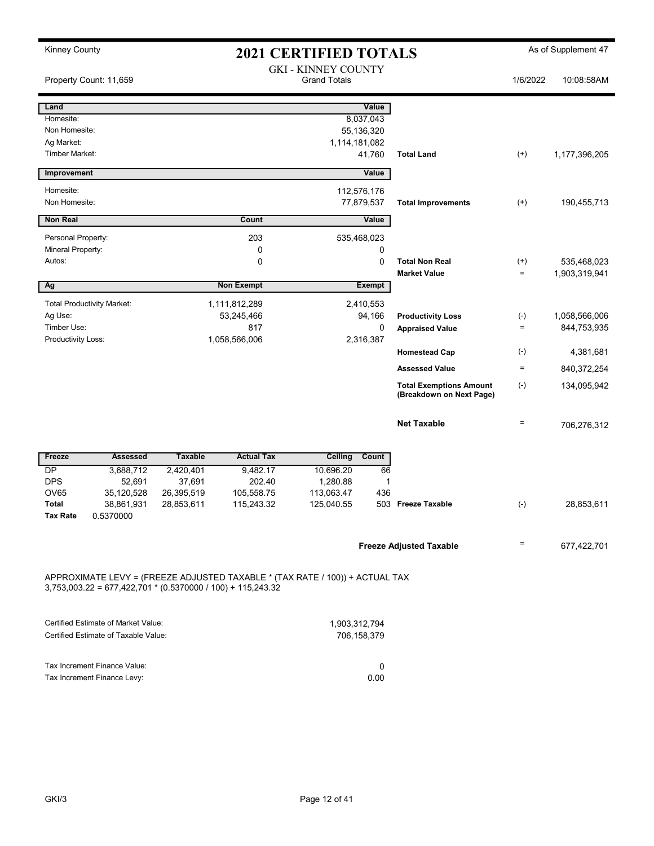| <b>Kinney County</b>    |                                                                             |                     |                                                                              | <b>2021 CERTIFIED TOTALS</b>                      |               |                                                            |           | As of Supplement 47 |
|-------------------------|-----------------------------------------------------------------------------|---------------------|------------------------------------------------------------------------------|---------------------------------------------------|---------------|------------------------------------------------------------|-----------|---------------------|
|                         | Property Count: 11,659                                                      |                     |                                                                              | <b>GKI - KINNEY COUNTY</b><br><b>Grand Totals</b> |               |                                                            | 1/6/2022  | 10:08:58AM          |
| Land                    |                                                                             |                     |                                                                              |                                                   | Value         |                                                            |           |                     |
| Homesite:               |                                                                             |                     |                                                                              |                                                   | 8,037,043     |                                                            |           |                     |
| Non Homesite:           |                                                                             |                     |                                                                              |                                                   | 55,136,320    |                                                            |           |                     |
| Ag Market:              |                                                                             |                     |                                                                              |                                                   | 1,114,181,082 |                                                            |           |                     |
| Timber Market:          |                                                                             |                     |                                                                              |                                                   | 41,760        | <b>Total Land</b>                                          | $^{(+)}$  | 1,177,396,205       |
| Improvement             |                                                                             |                     |                                                                              |                                                   | Value         |                                                            |           |                     |
| Homesite:               |                                                                             |                     |                                                                              |                                                   | 112,576,176   |                                                            |           |                     |
| Non Homesite:           |                                                                             |                     |                                                                              |                                                   | 77,879,537    | <b>Total Improvements</b>                                  | $^{(+)}$  | 190,455,713         |
| <b>Non Real</b>         |                                                                             |                     | Count                                                                        |                                                   | Value         |                                                            |           |                     |
| Personal Property:      |                                                                             |                     | 203                                                                          |                                                   | 535,468,023   |                                                            |           |                     |
| Mineral Property:       |                                                                             |                     | 0                                                                            |                                                   | 0             |                                                            |           |                     |
| Autos:                  |                                                                             |                     | 0                                                                            |                                                   | $\mathbf 0$   | <b>Total Non Real</b>                                      | $^{(+)}$  | 535,468,023         |
|                         |                                                                             |                     |                                                                              |                                                   |               | <b>Market Value</b>                                        | $\equiv$  | 1,903,319,941       |
| Ag                      |                                                                             |                     | <b>Non Exempt</b>                                                            |                                                   | <b>Exempt</b> |                                                            |           |                     |
|                         | <b>Total Productivity Market:</b>                                           |                     | 1,111,812,289                                                                |                                                   | 2,410,553     |                                                            |           |                     |
| Ag Use:                 |                                                                             |                     | 53,245,466                                                                   |                                                   | 94,166        | <b>Productivity Loss</b>                                   | $(-)$     | 1,058,566,006       |
| Timber Use:             |                                                                             |                     | 817                                                                          |                                                   | 0             | <b>Appraised Value</b>                                     | $\equiv$  | 844,753,935         |
| Productivity Loss:      |                                                                             |                     | 1,058,566,006                                                                |                                                   | 2,316,387     |                                                            |           |                     |
|                         |                                                                             |                     |                                                                              |                                                   |               | <b>Homestead Cap</b>                                       | $(\cdot)$ | 4,381,681           |
|                         |                                                                             |                     |                                                                              |                                                   |               | <b>Assessed Value</b>                                      | $\equiv$  | 840,372,254         |
|                         |                                                                             |                     |                                                                              |                                                   |               | <b>Total Exemptions Amount</b><br>(Breakdown on Next Page) | $(-)$     | 134,095,942         |
|                         |                                                                             |                     |                                                                              |                                                   |               | <b>Net Taxable</b>                                         | $\equiv$  | 706,276,312         |
|                         |                                                                             |                     |                                                                              |                                                   |               |                                                            |           |                     |
| Freeze                  | Assessed                                                                    | <b>Taxable</b>      | <b>Actual Tax</b>                                                            | Ceiling                                           | Count         |                                                            |           |                     |
| <b>DP</b><br><b>DPS</b> | 3,688,712<br>52,691                                                         | 2,420,401<br>37,691 | 9,482.17<br>202.40                                                           | 10,696.20<br>1,280.88                             | 66<br>1       |                                                            |           |                     |
| OV65                    | 35,120,528                                                                  | 26,395,519          | 105,558.75                                                                   | 113,063.47                                        | 436           |                                                            |           |                     |
| Total                   | 38,861,931                                                                  | 28,853,611          | 115,243.32                                                                   | 125,040.55                                        |               | 503 Freeze Taxable                                         | $(-)$     | 28,853,611          |
| Tax Rate                | 0.5370000                                                                   |                     |                                                                              |                                                   |               |                                                            |           |                     |
|                         |                                                                             |                     |                                                                              |                                                   |               |                                                            |           |                     |
|                         |                                                                             |                     |                                                                              |                                                   |               | <b>Freeze Adjusted Taxable</b>                             | $=$       | 677,422,701         |
|                         | $3,753,003.22 = 677,422,701 * (0.5370000 / 100) + 115,243.32$               |                     | APPROXIMATE LEVY = (FREEZE ADJUSTED TAXABLE * (TAX RATE / 100)) + ACTUAL TAX |                                                   |               |                                                            |           |                     |
|                         |                                                                             |                     |                                                                              |                                                   |               |                                                            |           |                     |
|                         | Certified Estimate of Market Value:<br>Certified Estimate of Taxable Value: |                     |                                                                              |                                                   | 1,903,312,794 |                                                            |           |                     |
|                         |                                                                             |                     |                                                                              |                                                   | 706,158,379   |                                                            |           |                     |
|                         | Tax Increment Finance Value:                                                |                     |                                                                              |                                                   |               |                                                            |           |                     |
|                         | Tax Increment Finance Levy:                                                 |                     |                                                                              |                                                   | 0<br>0.00     |                                                            |           |                     |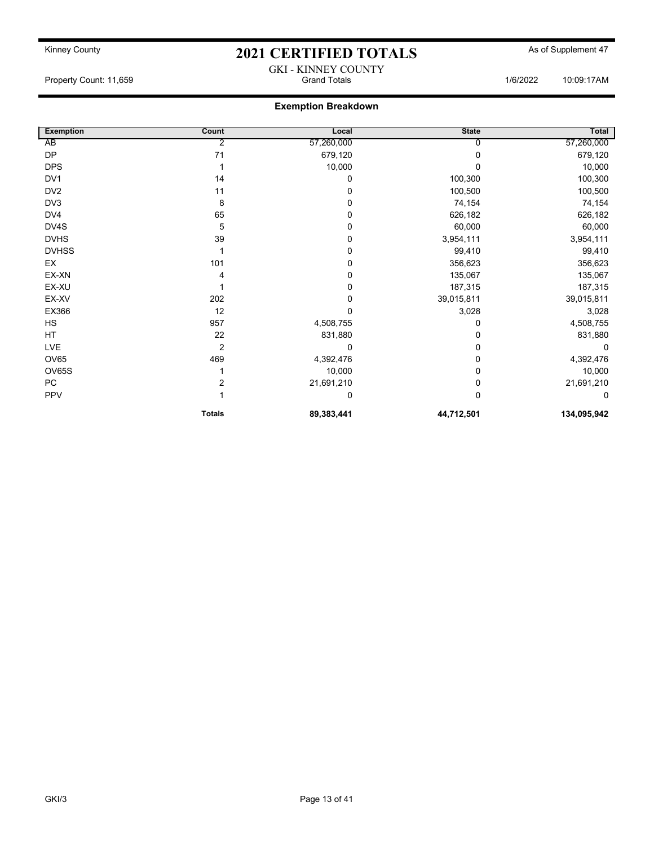GKI - KINNEY COUNTY Property Count: 11,659 **Count: 11,659** Crand Totals 1/6/2022 10:09:17AM

### Exemption Breakdown

| <b>Exemption</b> | Count          | Local      | <b>State</b> | Total       |
|------------------|----------------|------------|--------------|-------------|
| AB               | 2              | 57,260,000 | 0            | 57,260,000  |
| <b>DP</b>        | 71             | 679,120    | 0            | 679,120     |
| <b>DPS</b>       |                | 10,000     | ი            | 10,000      |
| DV1              | 14             | 0          | 100,300      | 100,300     |
| DV <sub>2</sub>  | 11             | 0          | 100,500      | 100,500     |
| DV3              | 8              | 0          | 74,154       | 74,154      |
| DV4              | 65             | 0          | 626,182      | 626,182     |
| DV4S             | 5              | 0          | 60,000       | 60,000      |
| <b>DVHS</b>      | 39             | 0          | 3,954,111    | 3,954,111   |
| <b>DVHSS</b>     |                | 0          | 99,410       | 99,410      |
| EX               | 101            | 0          | 356,623      | 356,623     |
| EX-XN            |                | 0          | 135,067      | 135,067     |
| EX-XU            |                | 0          | 187,315      | 187,315     |
| EX-XV            | 202            | 0          | 39,015,811   | 39,015,811  |
| EX366            | 12             | 0          | 3,028        | 3,028       |
| HS               | 957            | 4,508,755  | 0            | 4,508,755   |
| HT               | 22             | 831,880    | 0            | 831,880     |
| LVE              | 2              | 0          | 0            | $\Omega$    |
| OV65             | 469            | 4,392,476  | 0            | 4,392,476   |
| OV65S            |                | 10,000     | 0            | 10,000      |
| PC               | $\overline{2}$ | 21,691,210 | 0            | 21,691,210  |
| PPV              |                | 0          | 0            | $\Omega$    |
|                  | <b>Totals</b>  | 89,383,441 | 44,712,501   | 134,095,942 |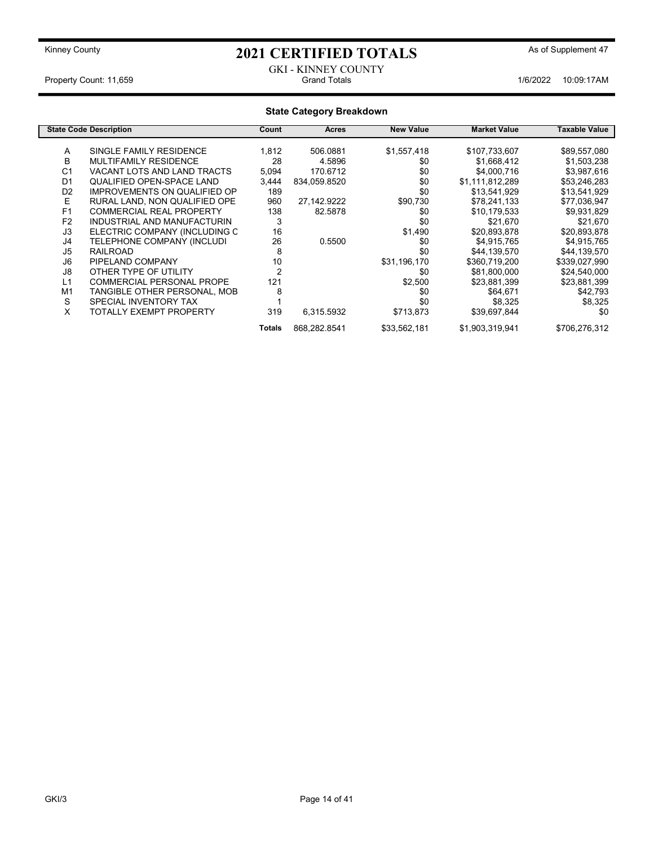#### GKI - KINNEY COUNTY<br>Grand Totals Property Count: 11,659 **1/6/2022** 10:09:17AM

| <b>State Category Breakdown</b> |                                     |                |              |                  |                     |               |  |  |
|---------------------------------|-------------------------------------|----------------|--------------|------------------|---------------------|---------------|--|--|
|                                 | <b>State Code Description</b>       | Count          | <b>Acres</b> | <b>New Value</b> | <b>Market Value</b> | Taxable Value |  |  |
| A                               | SINGLE FAMILY RESIDENCE             | 1,812          | 506.0881     | \$1,557,418      | \$107,733,607       | \$89,557,080  |  |  |
| B                               | <b>MULTIFAMILY RESIDENCE</b>        | 28             | 4.5896       | \$0              | \$1,668,412         | \$1,503,238   |  |  |
| C <sub>1</sub>                  | VACANT LOTS AND LAND TRACTS         | 5,094          | 170.6712     | \$0              | \$4,000,716         | \$3,987,616   |  |  |
| D <sub>1</sub>                  | <b>QUALIFIED OPEN-SPACE LAND</b>    | 3,444          | 834,059.8520 | \$0              | \$1,111,812,289     | \$53,246,283  |  |  |
| D <sub>2</sub>                  | <b>IMPROVEMENTS ON QUALIFIED OP</b> | 189            |              | \$0              | \$13,541,929        | \$13,541,929  |  |  |
| Е                               | RURAL LAND, NON QUALIFIED OPE       | 960            | 27,142.9222  | \$90,730         | \$78,241,133        | \$77,036,947  |  |  |
| F <sub>1</sub>                  | <b>COMMERCIAL REAL PROPERTY</b>     | 138            | 82.5878      | \$0              | \$10,179,533        | \$9,931,829   |  |  |
| F <sub>2</sub>                  | INDUSTRIAL AND MANUFACTURIN         | 3              |              | \$0              | \$21,670            | \$21,670      |  |  |
| J3                              | ELECTRIC COMPANY (INCLUDING C       | 16             |              | \$1,490          | \$20,893,878        | \$20,893,878  |  |  |
| J4                              | TELEPHONE COMPANY (INCLUDI          | 26             | 0.5500       | \$0              | \$4,915,765         | \$4,915,765   |  |  |
| J5                              | <b>RAILROAD</b>                     | 8              |              | \$0              | \$44,139,570        | \$44,139,570  |  |  |
| J6                              | PIPELAND COMPANY                    | 10             |              | \$31,196,170     | \$360,719,200       | \$339,027,990 |  |  |
| J8                              | OTHER TYPE OF UTILITY               | $\overline{2}$ |              | \$0              | \$81,800,000        | \$24,540,000  |  |  |
| L1                              | <b>COMMERCIAL PERSONAL PROPE</b>    | 121            |              | \$2,500          | \$23,881,399        | \$23,881,399  |  |  |
| M1                              | TANGIBLE OTHER PERSONAL, MOB        | 8              |              | \$0              | \$64,671            | \$42,793      |  |  |
| S                               | SPECIAL INVENTORY TAX               |                |              | \$0              | \$8,325             | \$8,325       |  |  |
| X                               | TOTALLY EXEMPT PROPERTY             | 319            | 6,315.5932   | \$713,873        | \$39,697,844        | \$0           |  |  |
|                                 |                                     | Totals         | 868,282.8541 | \$33,562,181     | \$1,903,319,941     | \$706,276,312 |  |  |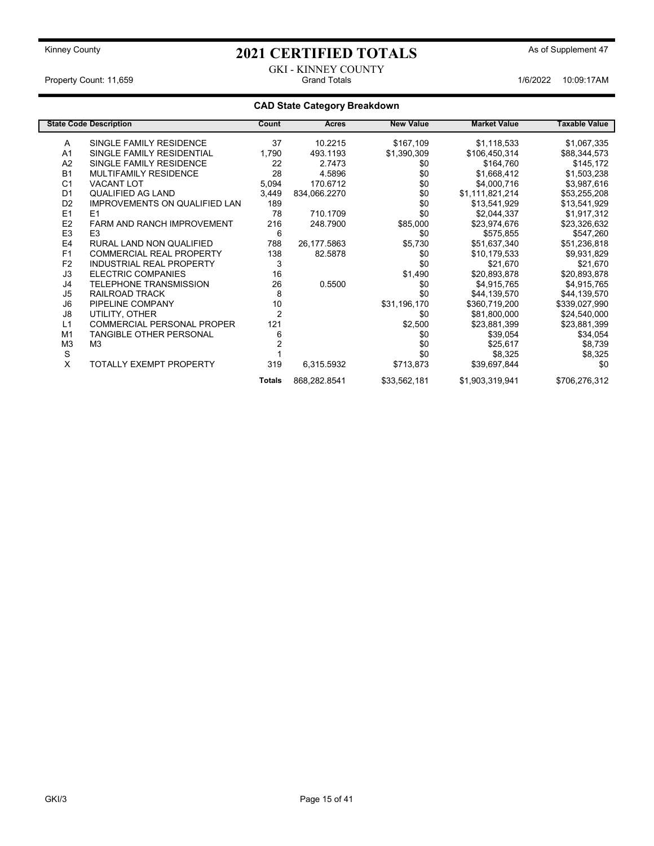GKI - KINNEY COUNTY<br>Grand Totals Property Count: 11,659 **Accord Property Count: 11,659** Grand Totals 1/6/2022 10:09:17AM

### CAD State Category Breakdown

|                | <b>State Code Description</b>        | Count          | Acres        | <b>New Value</b> | <b>Market Value</b> | <b>Taxable Value</b> |
|----------------|--------------------------------------|----------------|--------------|------------------|---------------------|----------------------|
| A              | SINGLE FAMILY RESIDENCE              | 37             | 10.2215      | \$167,109        | \$1,118,533         | \$1,067,335          |
| A <sub>1</sub> | SINGLE FAMILY RESIDENTIAL            | 1,790          | 493.1193     | \$1,390,309      | \$106,450,314       | \$88,344,573         |
| A2             | SINGLE FAMILY RESIDENCE              | 22             | 2.7473       | \$0              | \$164,760           | \$145,172            |
| <b>B1</b>      | <b>MULTIFAMILY RESIDENCE</b>         | 28             | 4.5896       | \$0              | \$1,668,412         | \$1,503,238          |
| C <sub>1</sub> | <b>VACANT LOT</b>                    | 5,094          | 170.6712     | \$0              | \$4,000,716         | \$3,987,616          |
| D <sub>1</sub> | QUALIFIED AG LAND                    | 3,449          | 834,066.2270 | \$0              | \$1,111,821,214     | \$53,255,208         |
| D <sub>2</sub> | <b>IMPROVEMENTS ON QUALIFIED LAN</b> | 189            |              | \$0              | \$13,541,929        | \$13,541,929         |
| E1             | E1                                   | 78             | 710.1709     | \$0              | \$2,044,337         | \$1,917,312          |
| E <sub>2</sub> | <b>FARM AND RANCH IMPROVEMENT</b>    | 216            | 248.7900     | \$85,000         | \$23,974,676        | \$23,326,632         |
| E <sub>3</sub> | E <sub>3</sub>                       | 6              |              | \$0              | \$575,855           | \$547,260            |
| E <sub>4</sub> | RURAL LAND NON QUALIFIED             | 788            | 26,177.5863  | \$5,730          | \$51,637,340        | \$51,236,818         |
| F1             | <b>COMMERCIAL REAL PROPERTY</b>      | 138            | 82.5878      | \$0              | \$10,179,533        | \$9,931,829          |
| F <sub>2</sub> | <b>INDUSTRIAL REAL PROPERTY</b>      | 3              |              | \$0              | \$21,670            | \$21,670             |
| J3             | ELECTRIC COMPANIES                   | 16             |              | \$1,490          | \$20,893,878        | \$20,893,878         |
| J4             | <b>TELEPHONE TRANSMISSION</b>        | 26             | 0.5500       | \$0              | \$4,915,765         | \$4,915,765          |
| J <sub>5</sub> | RAILROAD TRACK                       | 8              |              | \$0              | \$44,139,570        | \$44,139,570         |
| J6             | PIPELINE COMPANY                     | 10             |              | \$31,196,170     | \$360,719,200       | \$339,027,990        |
| J8             | UTILITY, OTHER                       | $\overline{2}$ |              | \$0              | \$81,800,000        | \$24,540,000         |
| L1             | <b>COMMERCIAL PERSONAL PROPER</b>    | 121            |              | \$2,500          | \$23,881,399        | \$23,881,399         |
| M <sub>1</sub> | <b>TANGIBLE OTHER PERSONAL</b>       | 6              |              | \$0              | \$39,054            | \$34,054             |
| M <sub>3</sub> | M3                                   |                |              | \$0              | \$25,617            | \$8,739              |
| S              |                                      |                |              | \$0              | \$8,325             | \$8,325              |
| X              | <b>TOTALLY EXEMPT PROPERTY</b>       | 319            | 6,315.5932   | \$713,873        | \$39,697,844        | \$0                  |
|                |                                      | <b>Totals</b>  | 868,282.8541 | \$33,562,181     | \$1,903,319,941     | \$706,276,312        |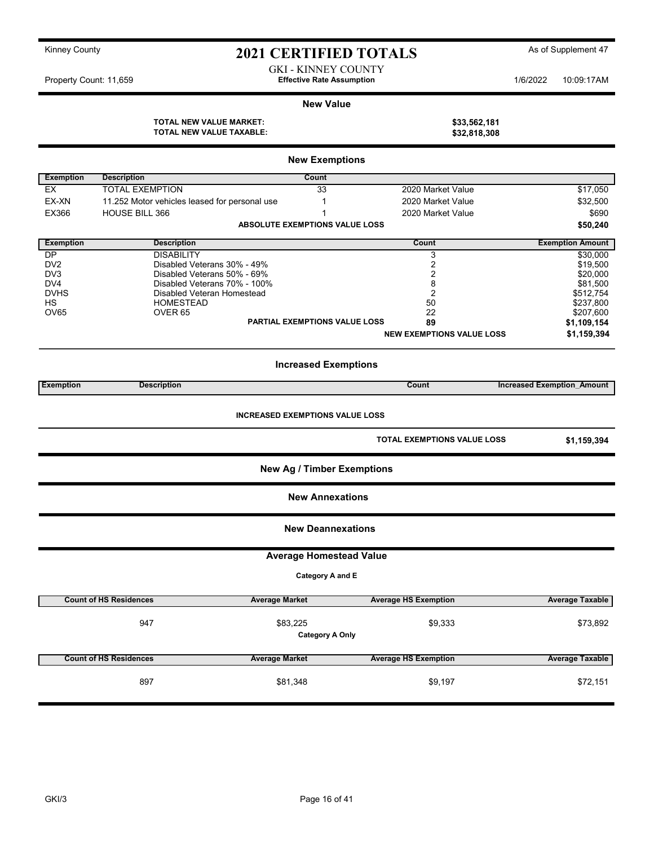| Kinney County |  |
|---------------|--|
|---------------|--|

### 2021 CERTIFIED TOTALS As of Supplement 47

GKI - KINNEY COUNTY Property Count: 11,659 **1/6/2022** 10:09:17AM

#### New Value

TOTAL NEW VALUE MARKET: \$33,562,181<br>TOTAL NEW VALUE TAXABLE: \$32,818,308 TOTAL NEW VALUE TAXABLE:

|                  |                                               | <b>New Exemptions</b>              |                                  |                                   |
|------------------|-----------------------------------------------|------------------------------------|----------------------------------|-----------------------------------|
| <b>Exemption</b> | <b>Description</b>                            | <b>Count</b>                       |                                  |                                   |
| <b>EX</b>        | <b>TOTAL EXEMPTION</b>                        | 33                                 | 2020 Market Value                | \$17,050                          |
| EX-XN            | 11.252 Motor vehicles leased for personal use | $\mathbf{1}$                       | 2020 Market Value                | \$32,500                          |
| <b>EX366</b>     | <b>HOUSE BILL 366</b>                         | 1                                  | 2020 Market Value                | \$690                             |
|                  |                                               | ABSOLUTE EXEMPTIONS VALUE LOSS     |                                  | \$50,240                          |
| <b>Exemption</b> | <b>Description</b>                            |                                    | Count                            | <b>Exemption Amount</b>           |
| <b>DP</b>        | <b>DISABILITY</b>                             |                                    | 3                                | \$30,000                          |
| DV <sub>2</sub>  | Disabled Veterans 30% - 49%                   |                                    | $\overline{2}$                   | \$19,500                          |
| DV3              | Disabled Veterans 50% - 69%                   |                                    | 2                                | \$20,000                          |
| DV4              | Disabled Veterans 70% - 100%                  |                                    | 8                                | \$81,500                          |
| <b>DVHS</b>      | Disabled Veteran Homestead                    |                                    | $\overline{2}$                   | \$512,754                         |
| <b>HS</b>        | <b>HOMESTEAD</b>                              |                                    | 50                               | \$237,800                         |
| OV65             | OVER <sub>65</sub>                            |                                    | 22                               | \$207,600                         |
|                  |                                               | PARTIAL EXEMPTIONS VALUE LOSS      | 89                               | \$1,109,154                       |
|                  |                                               |                                    | <b>NEW EXEMPTIONS VALUE LOSS</b> | \$1,159,394                       |
|                  |                                               | <b>Increased Exemptions</b>        |                                  |                                   |
| <b>Exemption</b> | <b>Description</b>                            |                                    | Count                            | <b>Increased Exemption Amount</b> |
|                  |                                               | <b>New Ag / Timber Exemptions</b>  | TOTAL EXEMPTIONS VALUE LOSS      | \$1,159,394                       |
|                  |                                               | <b>New Annexations</b>             |                                  |                                   |
|                  |                                               | <b>New Deannexations</b>           |                                  |                                   |
|                  |                                               | <b>Average Homestead Value</b>     |                                  |                                   |
|                  |                                               | Category A and E                   |                                  |                                   |
|                  | <b>Count of HS Residences</b>                 | <b>Average Market</b>              | <b>Average HS Exemption</b>      | <b>Average Taxable</b>            |
|                  |                                               |                                    |                                  |                                   |
|                  | 947                                           | \$83,225<br><b>Category A Only</b> | \$9,333                          | \$73,892                          |
|                  | <b>Count of HS Residences</b>                 | <b>Average Market</b>              | <b>Average HS Exemption</b>      | <b>Average Taxable</b>            |
|                  | 897                                           | \$81,348                           | \$9,197                          | \$72,151                          |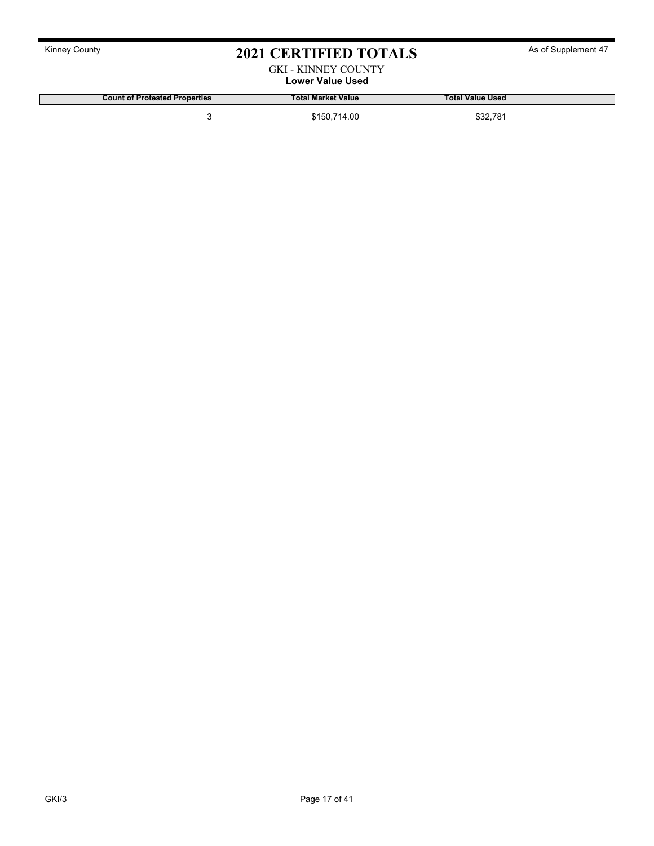### GKI - KINNEY COUNTY

Lower Value Used

Count of Protested Properties Total Market Value Total Value Used

3 \$150,714.00 \$32,781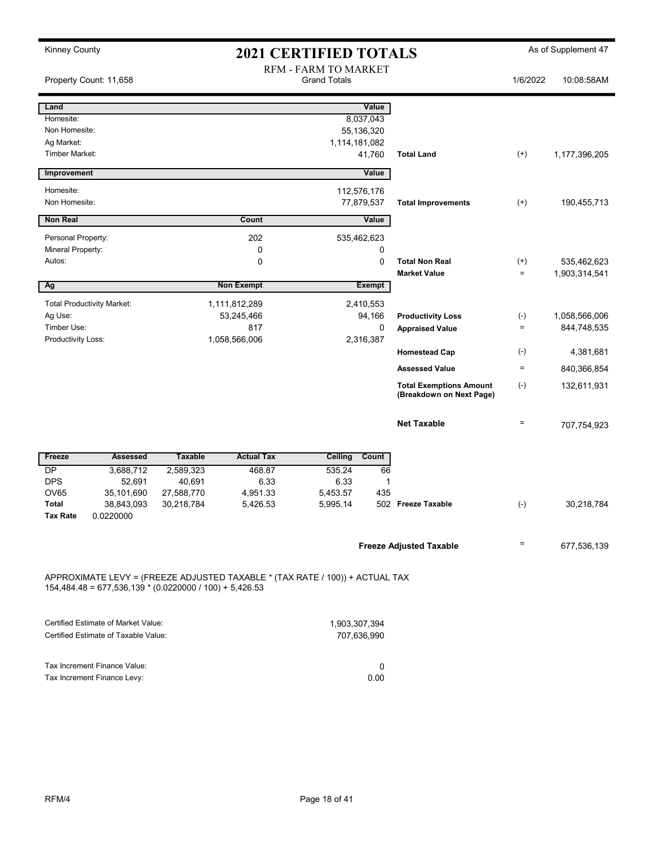| <b>Kinney County</b>                    |                                                                             |                                                    |                                                                              | <b>2021 CERTIFIED TOTALS</b> |                         |                                                            |                    | As of Supplement 47 |
|-----------------------------------------|-----------------------------------------------------------------------------|----------------------------------------------------|------------------------------------------------------------------------------|------------------------------|-------------------------|------------------------------------------------------------|--------------------|---------------------|
|                                         | Property Count: 11,658                                                      | <b>RFM - FARM TO MARKET</b><br><b>Grand Totals</b> |                                                                              |                              |                         |                                                            | 1/6/2022           | 10:08:58AM          |
| Land                                    |                                                                             |                                                    |                                                                              |                              | Value                   |                                                            |                    |                     |
| Homesite:<br>Non Homesite:              |                                                                             |                                                    |                                                                              |                              | 8,037,043<br>55,136,320 |                                                            |                    |                     |
| Ag Market:                              |                                                                             |                                                    |                                                                              | 1,114,181,082                |                         |                                                            |                    |                     |
| <b>Timber Market:</b>                   |                                                                             |                                                    |                                                                              |                              | 41,760                  | <b>Total Land</b>                                          | $^{(+)}$           | 1,177,396,205       |
| Improvement                             |                                                                             |                                                    |                                                                              |                              | Value                   |                                                            |                    |                     |
| Homesite:                               |                                                                             |                                                    |                                                                              |                              | 112,576,176             |                                                            |                    |                     |
| Non Homesite:                           |                                                                             |                                                    |                                                                              |                              | 77,879,537              | <b>Total Improvements</b>                                  | $^{(+)}$           | 190,455,713         |
| <b>Non Real</b>                         |                                                                             |                                                    | Count                                                                        |                              | Value                   |                                                            |                    |                     |
| Personal Property:<br>Mineral Property: |                                                                             |                                                    | 202<br>0                                                                     |                              | 535,462,623<br>0        |                                                            |                    |                     |
| Autos:                                  |                                                                             |                                                    | 0                                                                            |                              | 0                       | <b>Total Non Real</b>                                      | $^{(+)}$           | 535,462,623         |
|                                         |                                                                             |                                                    |                                                                              |                              |                         | <b>Market Value</b>                                        | $\equiv$           | 1,903,314,541       |
| Ag                                      |                                                                             |                                                    | <b>Non Exempt</b>                                                            |                              | <b>Exempt</b>           |                                                            |                    |                     |
| Ag Use:                                 | <b>Total Productivity Market:</b>                                           |                                                    | 1,111,812,289<br>53,245,466                                                  |                              | 2,410,553<br>94,166     | <b>Productivity Loss</b>                                   | $(\textnormal{-})$ | 1,058,566,006       |
| Timber Use:                             |                                                                             |                                                    | 817                                                                          | 0                            |                         | <b>Appraised Value</b>                                     | $\equiv$           | 844,748,535         |
| Productivity Loss:                      |                                                                             |                                                    | 1,058,566,006                                                                | 2,316,387                    |                         |                                                            |                    |                     |
|                                         |                                                                             |                                                    |                                                                              |                              |                         | <b>Homestead Cap</b>                                       | $(\textnormal{-})$ | 4,381,681           |
|                                         |                                                                             |                                                    |                                                                              |                              |                         | <b>Assessed Value</b>                                      | $\equiv$           | 840,366,854         |
|                                         |                                                                             |                                                    |                                                                              |                              |                         | <b>Total Exemptions Amount</b><br>(Breakdown on Next Page) | $(\cdot)$          | 132,611,931         |
|                                         |                                                                             |                                                    |                                                                              |                              |                         | <b>Net Taxable</b>                                         | $\equiv$           | 707,754,923         |
| Freeze                                  | <b>Assessed</b>                                                             | <b>Taxable</b>                                     | <b>Actual Tax</b>                                                            | Ceiling                      | Count                   |                                                            |                    |                     |
| DP                                      | 3,688,712                                                                   | 2,589,323                                          | 468.87                                                                       | 535.24                       | 66                      |                                                            |                    |                     |
| <b>DPS</b><br><b>OV65</b>               | 52,691<br>35,101,690                                                        | 40,691<br>27,588,770                               | 6.33<br>4,951.33                                                             | 6.33<br>5,453.57             | $\mathbf 1$<br>435      |                                                            |                    |                     |
| <b>Total</b>                            | 38,843,093                                                                  | 30,218,784                                         | 5,426.53                                                                     | 5,995.14                     |                         | 502 Freeze Taxable                                         | $(\textnormal{-})$ | 30,218,784          |
| Tax Rate                                | 0.0220000                                                                   |                                                    |                                                                              |                              |                         |                                                            |                    |                     |
|                                         |                                                                             |                                                    |                                                                              |                              |                         | <b>Freeze Adjusted Taxable</b>                             | $=$                | 677,536,139         |
|                                         | $154,484.48 = 677,536,139 * (0.0220000 / 100) + 5,426.53$                   |                                                    | APPROXIMATE LEVY = (FREEZE ADJUSTED TAXABLE * (TAX RATE / 100)) + ACTUAL TAX |                              |                         |                                                            |                    |                     |
|                                         | Certified Estimate of Market Value:<br>Certified Estimate of Taxable Value: |                                                    |                                                                              | 1,903,307,394                | 707,636,990             |                                                            |                    |                     |
|                                         |                                                                             |                                                    |                                                                              |                              |                         |                                                            |                    |                     |

| Tax Increment Finance Value: |      |
|------------------------------|------|
| Tax Increment Finance Levy:  | 0.00 |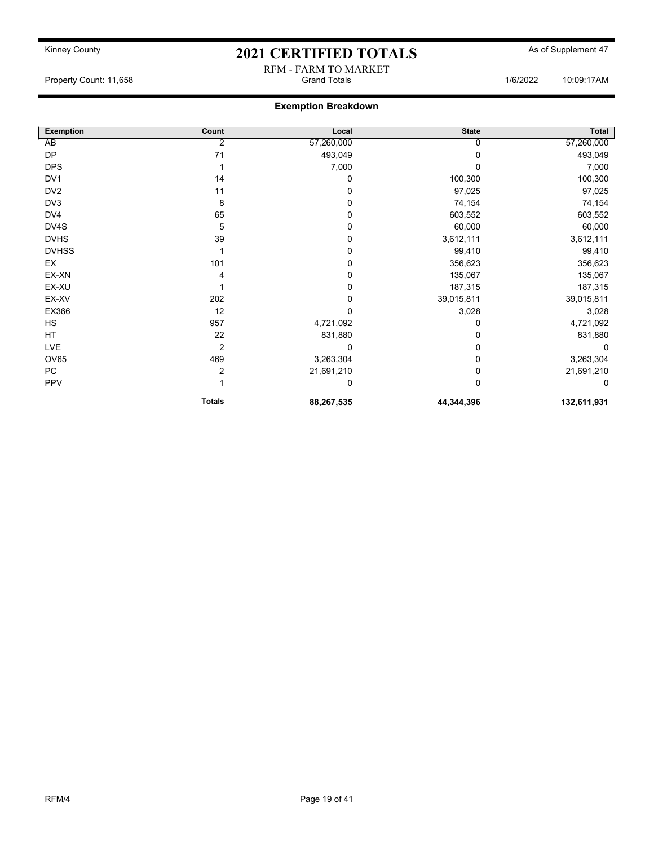RFM - FARM TO MARKET

Property Count: 11,658 **Count: 11,658** Crand Totals 1/6/2022 10:09:17AM

### Exemption Breakdown

| <b>Exemption</b> | Count          | Local      | <b>State</b> | <b>Total</b> |
|------------------|----------------|------------|--------------|--------------|
| AB               | 2              | 57,260,000 |              | 57,260,000   |
| <b>DP</b>        | 71             | 493,049    | 0            | 493,049      |
| <b>DPS</b>       |                | 7,000      |              | 7,000        |
| DV1              | 14             | 0          | 100,300      | 100,300      |
| DV <sub>2</sub>  | 11             | 0          | 97,025       | 97,025       |
| DV3              | 8              | 0          | 74,154       | 74,154       |
| DV4              | 65             | 0          | 603,552      | 603,552      |
| DV4S             | 5              | 0          | 60,000       | 60,000       |
| <b>DVHS</b>      | 39             | 0          | 3,612,111    | 3,612,111    |
| <b>DVHSS</b>     |                | 0          | 99,410       | 99,410       |
| EX               | 101            | 0          | 356,623      | 356,623      |
| EX-XN            |                | 0          | 135,067      | 135,067      |
| EX-XU            |                | 0          | 187,315      | 187,315      |
| EX-XV            | 202            | 0          | 39,015,811   | 39,015,811   |
| EX366            | 12             | 0          | 3,028        | 3,028        |
| HS               | 957            | 4,721,092  | 0            | 4,721,092    |
| HT               | 22             | 831,880    | 0            | 831,880      |
| <b>LVE</b>       | 2              | 0          | 0            | $\Omega$     |
| OV65             | 469            | 3,263,304  | 0            | 3,263,304    |
| PC               | $\overline{2}$ | 21,691,210 | 0            | 21,691,210   |
| PPV              |                | 0          | 0            | 0            |
|                  | <b>Totals</b>  | 88,267,535 | 44,344,396   | 132,611,931  |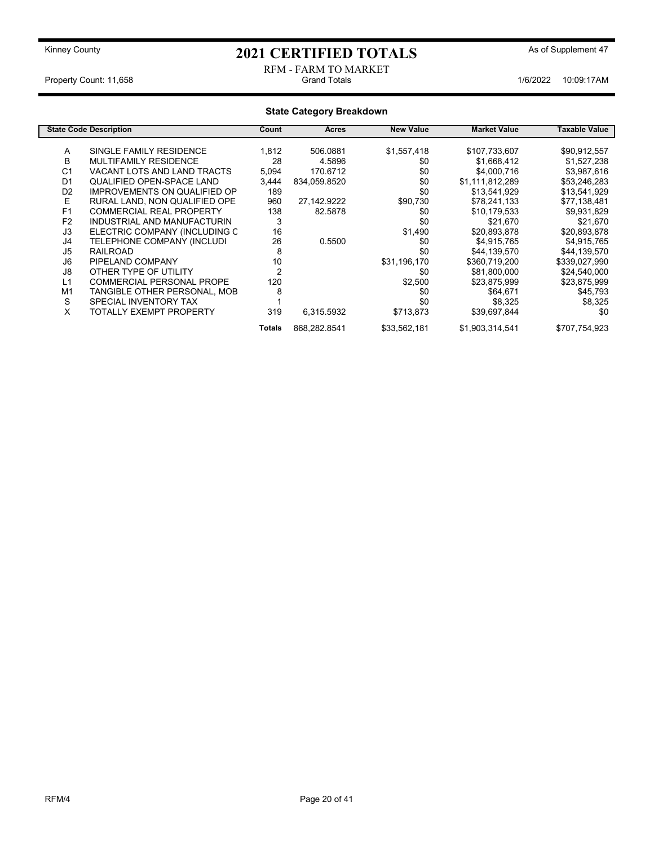#### RFM - FARM TO MARKET<br>Grand Totals Property Count: 11,658 **1/6/2022** 10:09:17AM

| <b>State Category Breakdown</b> |                                     |        |              |                  |                     |               |  |
|---------------------------------|-------------------------------------|--------|--------------|------------------|---------------------|---------------|--|
|                                 | <b>State Code Description</b>       | Count  | Acres        | <b>New Value</b> | <b>Market Value</b> | Taxable Value |  |
| Α                               | SINGLE FAMILY RESIDENCE             | 1,812  | 506.0881     | \$1,557,418      | \$107,733,607       | \$90,912,557  |  |
| B                               | <b>MULTIFAMILY RESIDENCE</b>        | 28     | 4.5896       | \$0              | \$1,668,412         | \$1,527,238   |  |
| C <sub>1</sub>                  | VACANT LOTS AND LAND TRACTS         | 5,094  | 170.6712     | \$0              | \$4,000,716         | \$3,987,616   |  |
| D <sub>1</sub>                  | <b>QUALIFIED OPEN-SPACE LAND</b>    | 3,444  | 834,059.8520 | \$0              | \$1,111,812,289     | \$53,246,283  |  |
| D <sub>2</sub>                  | <b>IMPROVEMENTS ON QUALIFIED OP</b> | 189    |              | \$0              | \$13,541,929        | \$13,541,929  |  |
| E                               | RURAL LAND, NON QUALIFIED OPE       | 960    | 27,142.9222  | \$90,730         | \$78,241,133        | \$77,138,481  |  |
| F1                              | <b>COMMERCIAL REAL PROPERTY</b>     | 138    | 82.5878      | \$0              | \$10,179,533        | \$9,931,829   |  |
| F <sub>2</sub>                  | INDUSTRIAL AND MANUFACTURIN         | 3      |              | \$0              | \$21,670            | \$21,670      |  |
| J3                              | ELECTRIC COMPANY (INCLUDING C       | 16     |              | \$1,490          | \$20,893,878        | \$20,893,878  |  |
| J4                              | TELEPHONE COMPANY (INCLUDI          | 26     | 0.5500       | \$0              | \$4,915,765         | \$4,915,765   |  |
| J5                              | <b>RAILROAD</b>                     | 8      |              | \$0              | \$44,139,570        | \$44,139,570  |  |
| J6                              | PIPELAND COMPANY                    | 10     |              | \$31,196,170     | \$360,719,200       | \$339,027,990 |  |
| J8                              | OTHER TYPE OF UTILITY               | 2      |              | \$0              | \$81,800,000        | \$24,540,000  |  |
| L1                              | <b>COMMERCIAL PERSONAL PROPE</b>    | 120    |              | \$2,500          | \$23,875,999        | \$23,875,999  |  |
| M1                              | TANGIBLE OTHER PERSONAL, MOB        | 8      |              | \$0              | \$64,671            | \$45,793      |  |
| S                               | SPECIAL INVENTORY TAX               |        |              | \$0              | \$8,325             | \$8,325       |  |
| X                               | <b>TOTALLY EXEMPT PROPERTY</b>      | 319    | 6,315.5932   | \$713,873        | \$39,697,844        | \$0           |  |
|                                 |                                     | Totals | 868,282.8541 | \$33,562,181     | \$1,903,314,541     | \$707,754,923 |  |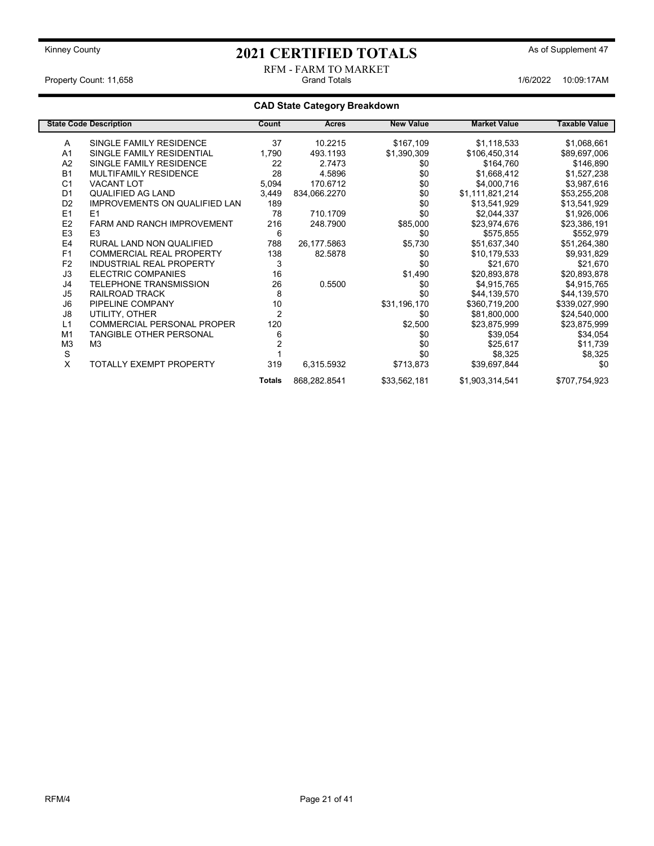#### RFM - FARM TO MARKET Property Count: 11,658 **Accord Property Count: 11,658** Grand Totals 1/6/2022 10:09:17AM

### CAD State Category Breakdown

|                | <b>State Code Description</b>        | Count          | Acres        | <b>New Value</b> | <b>Market Value</b> | <b>Taxable Value</b> |
|----------------|--------------------------------------|----------------|--------------|------------------|---------------------|----------------------|
| Α              | SINGLE FAMILY RESIDENCE              | 37             | 10.2215      | \$167,109        | \$1,118,533         | \$1,068,661          |
| A <sub>1</sub> | SINGLE FAMILY RESIDENTIAL            | 1,790          | 493.1193     | \$1,390,309      | \$106,450,314       | \$89,697,006         |
| A2             | SINGLE FAMILY RESIDENCE              | 22             | 2.7473       | \$0              | \$164,760           | \$146,890            |
| <b>B1</b>      | <b>MULTIFAMILY RESIDENCE</b>         | 28             | 4.5896       | \$0              | \$1,668,412         | \$1,527,238          |
| C <sub>1</sub> | <b>VACANT LOT</b>                    | 5,094          | 170.6712     | \$0              | \$4,000,716         | \$3,987,616          |
| D <sub>1</sub> | QUALIFIED AG LAND                    | 3,449          | 834,066.2270 | \$0              | \$1,111,821,214     | \$53,255,208         |
| D <sub>2</sub> | <b>IMPROVEMENTS ON QUALIFIED LAN</b> | 189            |              | \$0              | \$13,541,929        | \$13,541,929         |
| E1             | E1                                   | 78             | 710.1709     | \$0              | \$2,044,337         | \$1,926,006          |
| E <sub>2</sub> | <b>FARM AND RANCH IMPROVEMENT</b>    | 216            | 248.7900     | \$85,000         | \$23,974,676        | \$23,386,191         |
| E <sub>3</sub> | E <sub>3</sub>                       | 6              |              | \$0              | \$575,855           | \$552,979            |
| E <sub>4</sub> | RURAL LAND NON QUALIFIED             | 788            | 26,177.5863  | \$5,730          | \$51,637,340        | \$51,264,380         |
| F1             | <b>COMMERCIAL REAL PROPERTY</b>      | 138            | 82.5878      | \$0              | \$10,179,533        | \$9,931,829          |
| F <sub>2</sub> | <b>INDUSTRIAL REAL PROPERTY</b>      | 3              |              | \$0              | \$21,670            | \$21,670             |
| J3             | <b>ELECTRIC COMPANIES</b>            | 16             |              | \$1,490          | \$20,893,878        | \$20,893,878         |
| J4             | <b>TELEPHONE TRANSMISSION</b>        | 26             | 0.5500       | \$0              | \$4,915,765         | \$4,915,765          |
| J5             | RAILROAD TRACK                       | 8              |              | \$0              | \$44,139,570        | \$44,139,570         |
| J6             | PIPELINE COMPANY                     | 10             |              | \$31,196,170     | \$360,719,200       | \$339,027,990        |
| J8             | UTILITY, OTHER                       | $\overline{2}$ |              | \$0              | \$81,800,000        | \$24,540,000         |
| L1             | <b>COMMERCIAL PERSONAL PROPER</b>    | 120            |              | \$2,500          | \$23,875,999        | \$23,875,999         |
| M <sub>1</sub> | TANGIBLE OTHER PERSONAL              | 6              |              | \$0              | \$39,054            | \$34,054             |
| M <sub>3</sub> | M3                                   |                |              | \$0              | \$25,617            | \$11,739             |
| S              |                                      |                |              | \$0              | \$8,325             | \$8,325              |
| X              | <b>TOTALLY EXEMPT PROPERTY</b>       | 319            | 6,315.5932   | \$713,873        | \$39,697,844        | \$0                  |
|                |                                      | <b>Totals</b>  | 868,282.8541 | \$33,562,181     | \$1,903,314,541     | \$707,754,923        |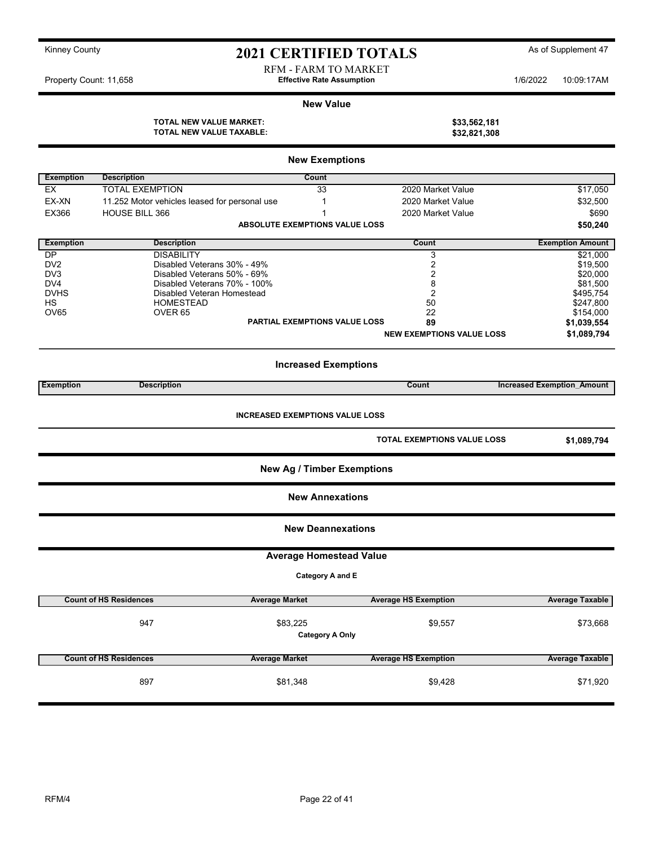| Kinney County |  |
|---------------|--|
|---------------|--|

## 2021 CERTIFIED TOTALS As of Supplement 47

RFM - FARM TO MARKET Property Count: 11,658 **1/6/2022** 10:09:17AM

#### New Value

TOTAL NEW VALUE MARKET: \$33,562,181<br>TOTAL NEW VALUE TAXABLE: \$32,821,308 TOTAL NEW VALUE TAXABLE:

| <b>New Exemptions</b> |                                               |                                        |                                  |                                   |
|-----------------------|-----------------------------------------------|----------------------------------------|----------------------------------|-----------------------------------|
| <b>Exemption</b>      | <b>Description</b>                            | Count                                  |                                  |                                   |
| EX                    | <b>TOTAL EXEMPTION</b>                        | 33                                     | 2020 Market Value                | \$17,050                          |
| EX-XN                 | 11.252 Motor vehicles leased for personal use | $\mathbf{1}$                           | 2020 Market Value                | \$32,500                          |
| EX366                 | <b>HOUSE BILL 366</b>                         | 1                                      | 2020 Market Value                | \$690                             |
|                       |                                               | ABSOLUTE EXEMPTIONS VALUE LOSS         |                                  | \$50,240                          |
|                       |                                               |                                        |                                  |                                   |
| <b>Exemption</b>      | <b>Description</b>                            |                                        | Count                            | <b>Exemption Amount</b>           |
| <b>DP</b>             | <b>DISABILITY</b>                             |                                        | 3                                | \$21,000                          |
| DV <sub>2</sub>       | Disabled Veterans 30% - 49%                   |                                        | $\overline{2}$                   | \$19,500                          |
| DV <sub>3</sub>       | Disabled Veterans 50% - 69%                   |                                        | $\overline{2}$                   | \$20,000                          |
| DV4                   | Disabled Veterans 70% - 100%                  |                                        | 8                                | \$81,500                          |
| <b>DVHS</b>           | Disabled Veteran Homestead                    |                                        | $\overline{2}$                   | \$495,754                         |
| <b>HS</b>             | <b>HOMESTEAD</b>                              |                                        | 50                               | \$247,800                         |
| OV65                  | OVER <sub>65</sub>                            |                                        | 22                               | \$154,000                         |
|                       |                                               | <b>PARTIAL EXEMPTIONS VALUE LOSS</b>   | 89                               | \$1,039,554                       |
|                       |                                               |                                        | <b>NEW EXEMPTIONS VALUE LOSS</b> | \$1,089,794                       |
|                       |                                               | <b>Increased Exemptions</b>            |                                  |                                   |
| <b>Exemption</b>      | <b>Description</b>                            |                                        | Count                            | <b>Increased Exemption Amount</b> |
|                       |                                               | <b>INCREASED EXEMPTIONS VALUE LOSS</b> | TOTAL EXEMPTIONS VALUE LOSS      | \$1,089,794                       |
|                       |                                               | <b>New Ag / Timber Exemptions</b>      |                                  |                                   |
|                       |                                               | <b>New Annexations</b>                 |                                  |                                   |
|                       |                                               | <b>New Deannexations</b>               |                                  |                                   |
|                       |                                               | <b>Average Homestead Value</b>         |                                  |                                   |
|                       |                                               | Category A and E                       |                                  |                                   |
|                       | <b>Count of HS Residences</b>                 | <b>Average Market</b>                  | <b>Average HS Exemption</b>      | <b>Average Taxable</b>            |
|                       | 947                                           | \$83,225                               | \$9,557                          |                                   |
|                       |                                               | <b>Category A Only</b>                 |                                  | \$73,668                          |
|                       | <b>Count of HS Residences</b>                 | <b>Average Market</b>                  | <b>Average HS Exemption</b>      | Average Taxable                   |
|                       | 897                                           | \$81,348                               | \$9,428                          | \$71,920                          |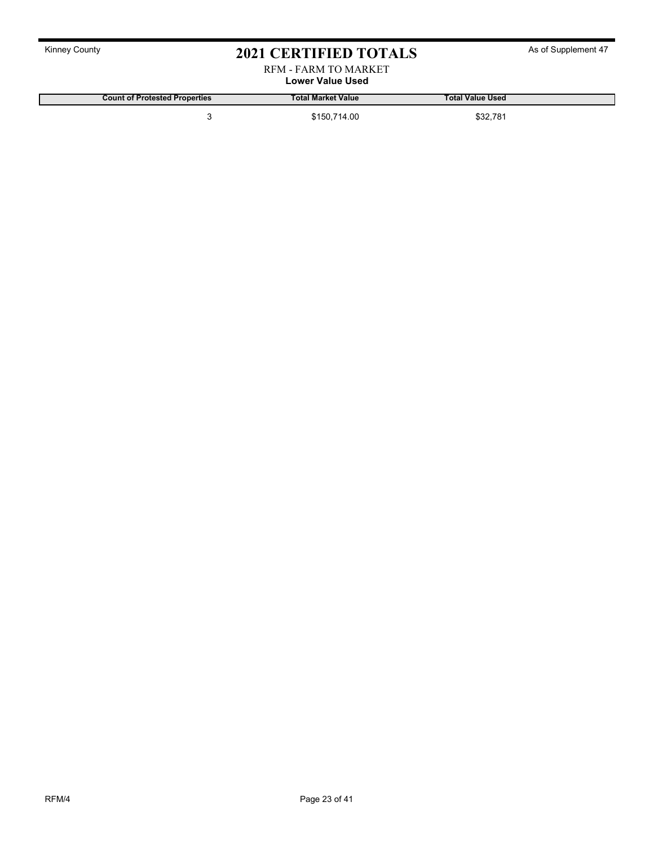#### RFM - FARM TO MARKET Lower Value Used

Count of Protested Properties **Total Market Value Count of Protested Properties** Total Value Used

3 \$150,714.00 \$32,781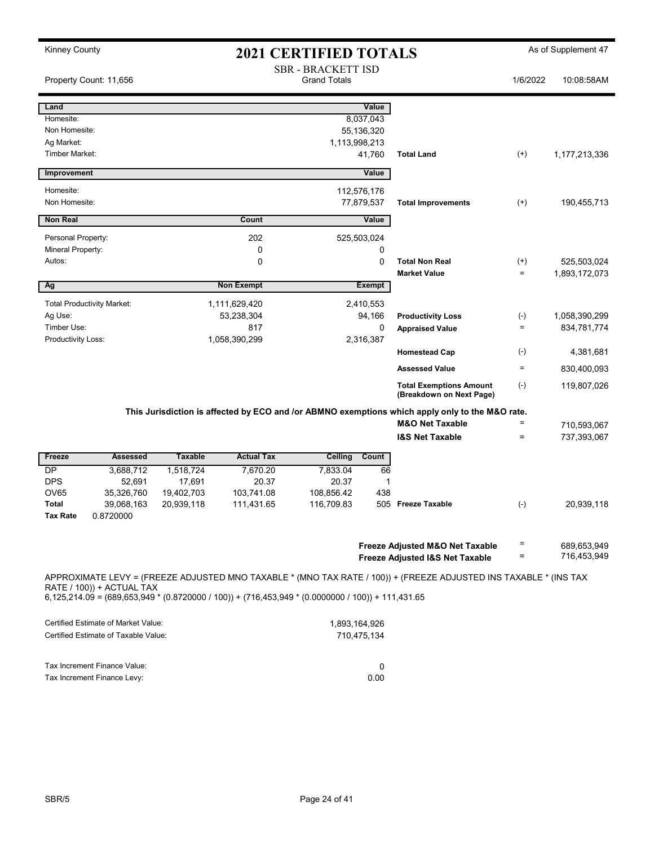| <b>Kinney County</b>                                                                                                             |                |                   | <b>2021 CERTIFIED TOTALS</b>                     |               |                                                                                                                   |                    | As of Supplement 47        |
|----------------------------------------------------------------------------------------------------------------------------------|----------------|-------------------|--------------------------------------------------|---------------|-------------------------------------------------------------------------------------------------------------------|--------------------|----------------------------|
| Property Count: 11,656                                                                                                           |                |                   | <b>SBR - BRACKETT ISD</b><br><b>Grand Totals</b> |               |                                                                                                                   | 1/6/2022           | 10:08:58AM                 |
|                                                                                                                                  |                |                   |                                                  |               |                                                                                                                   |                    |                            |
| Land                                                                                                                             |                |                   |                                                  | Value         |                                                                                                                   |                    |                            |
| Homesite:                                                                                                                        |                |                   |                                                  | 8,037,043     |                                                                                                                   |                    |                            |
| Non Homesite:                                                                                                                    |                |                   |                                                  | 55,136,320    |                                                                                                                   |                    |                            |
| Ag Market:                                                                                                                       |                |                   | 1,113,998,213                                    |               |                                                                                                                   |                    |                            |
| Timber Market:                                                                                                                   |                |                   |                                                  | 41,760        | <b>Total Land</b>                                                                                                 | $^{(+)}$           | 1, 177, 213, 336           |
| Improvement                                                                                                                      |                |                   |                                                  | Value         |                                                                                                                   |                    |                            |
| Homesite:                                                                                                                        |                |                   |                                                  | 112,576,176   |                                                                                                                   |                    |                            |
| Non Homesite:                                                                                                                    |                |                   |                                                  | 77,879,537    | <b>Total Improvements</b>                                                                                         | $^{(+)}$           | 190,455,713                |
| <b>Non Real</b>                                                                                                                  |                | Count             |                                                  | Value         |                                                                                                                   |                    |                            |
| Personal Property:                                                                                                               |                | 202               |                                                  | 525,503,024   |                                                                                                                   |                    |                            |
| Mineral Property:                                                                                                                |                | 0                 |                                                  | 0             |                                                                                                                   |                    |                            |
| Autos:                                                                                                                           |                | $\mathbf 0$       |                                                  | 0             | <b>Total Non Real</b>                                                                                             | $^{(+)}$           | 525,503,024                |
|                                                                                                                                  |                |                   |                                                  |               | <b>Market Value</b>                                                                                               | $\equiv$           | 1,893,172,073              |
| Ag                                                                                                                               |                | <b>Non Exempt</b> |                                                  | <b>Exempt</b> |                                                                                                                   |                    |                            |
| <b>Total Productivity Market:</b>                                                                                                |                | 1,111,629,420     |                                                  | 2,410,553     |                                                                                                                   |                    |                            |
| Ag Use:                                                                                                                          |                | 53,238,304        |                                                  | 94,166        | <b>Productivity Loss</b>                                                                                          | $(\textnormal{-})$ | 1,058,390,299              |
| Timber Use:                                                                                                                      |                | 817               |                                                  | 0             | <b>Appraised Value</b>                                                                                            | $\equiv$           | 834,781,774                |
| Productivity Loss:                                                                                                               |                | 1,058,390,299     |                                                  | 2,316,387     |                                                                                                                   |                    |                            |
|                                                                                                                                  |                |                   |                                                  |               | <b>Homestead Cap</b>                                                                                              | $(-)$              | 4,381,681                  |
|                                                                                                                                  |                |                   |                                                  |               | <b>Assessed Value</b>                                                                                             | $\quad =$          | 830,400,093                |
|                                                                                                                                  |                |                   |                                                  |               | <b>Total Exemptions Amount</b><br>(Breakdown on Next Page)                                                        | $(-)$              | 119,807,026                |
|                                                                                                                                  |                |                   |                                                  |               | This Jurisdiction is affected by ECO and /or ABMNO exemptions which apply only to the M&O rate.                   |                    |                            |
|                                                                                                                                  |                |                   |                                                  |               | <b>M&amp;O Net Taxable</b>                                                                                        | $=$                | 710,593,067                |
|                                                                                                                                  |                |                   |                                                  |               | <b>I&amp;S Net Taxable</b>                                                                                        | $\equiv$           | 737,393,067                |
| Freeze<br><b>Assessed</b>                                                                                                        | <b>Taxable</b> | <b>Actual Tax</b> | Ceiling                                          | Count         |                                                                                                                   |                    |                            |
| <b>DP</b><br>3,688,712                                                                                                           | 1,518,724      | 7,670.20          | 7,833.04                                         | 66            |                                                                                                                   |                    |                            |
| <b>DPS</b><br>52,691                                                                                                             | 17,691         | 20.37             | 20.37                                            | 1             |                                                                                                                   |                    |                            |
| OV65<br>35,326,760                                                                                                               | 19,402,703     | 103,741.08        | 108,856.42                                       | 438           |                                                                                                                   |                    |                            |
| Total<br>39,068,163                                                                                                              | 20,939,118     | 111,431.65        | 116,709.83                                       |               | 505 Freeze Taxable                                                                                                | $(\text{-})$       | 20,939,118                 |
| 0.8720000<br>Tax Rate                                                                                                            |                |                   |                                                  |               |                                                                                                                   |                    |                            |
|                                                                                                                                  |                |                   |                                                  |               |                                                                                                                   |                    |                            |
|                                                                                                                                  |                |                   |                                                  |               | Freeze Adjusted M&O Net Taxable                                                                                   | Ξ<br>Ξ             | 689,653,949<br>716,453,949 |
|                                                                                                                                  |                |                   |                                                  |               | Freeze Adjusted I&S Net Taxable                                                                                   |                    |                            |
| RATE / 100)) + ACTUAL TAX<br>$6,125,214.09 = (689,653,949 * (0.8720000 / 100)) + (716,453,949 * (0.0000000 / 100)) + 111,431.65$ |                |                   |                                                  |               | APPROXIMATE LEVY = (FREEZE ADJUSTED MNO TAXABLE * (MNO TAX RATE / 100)) + (FREEZE ADJUSTED INS TAXABLE * (INS TAX |                    |                            |
| <b>Certified Estimate of Market Value:</b>                                                                                       |                |                   |                                                  |               |                                                                                                                   |                    |                            |
| Certified Estimate of Taxable Value:                                                                                             |                |                   | 1,893,164,926                                    | 710,475,134   |                                                                                                                   |                    |                            |
|                                                                                                                                  |                |                   |                                                  |               |                                                                                                                   |                    |                            |

Tax Increment Finance Value: 0<br>
Tax Increment Finance Levy: 0<br>
0.00 Tax Increment Finance Levy: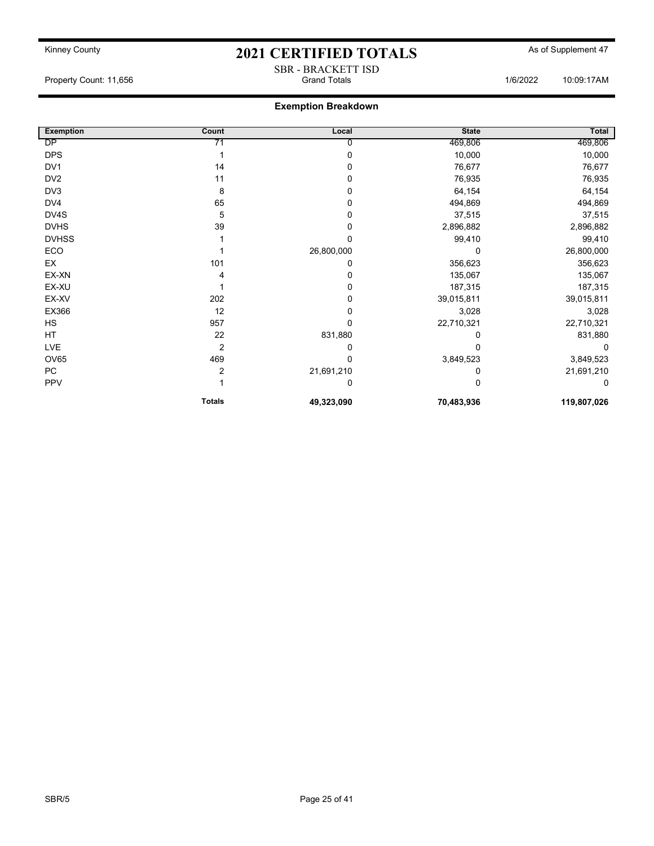SBR - BRACKETT ISD

Property Count: 11,656 **Count: 11,656** Crand Totals 1/6/2022 10:09:17AM

### Exemption Breakdown

| <b>Exemption</b> | Count          | Local      | <b>State</b> | Total       |
|------------------|----------------|------------|--------------|-------------|
| DP               | 71             | 0          | 469,806      | 469,806     |
| <b>DPS</b>       |                | O          | 10,000       | 10,000      |
| DV1              | 14             |            | 76,677       | 76,677      |
| DV <sub>2</sub>  | 11             |            | 76,935       | 76,935      |
| DV3              | 8              | 0          | 64,154       | 64,154      |
| DV4              | 65             | 0          | 494,869      | 494,869     |
| DV4S             | 5              | 0          | 37,515       | 37,515      |
| <b>DVHS</b>      | 39             | 0          | 2,896,882    | 2,896,882   |
| <b>DVHSS</b>     |                | n          | 99,410       | 99,410      |
| ECO              |                | 26,800,000 | 0            | 26,800,000  |
| EX               | 101            | O          | 356,623      | 356,623     |
| EX-XN            |                |            | 135,067      | 135,067     |
| EX-XU            |                | 0          | 187,315      | 187,315     |
| EX-XV            | 202            | 0          | 39,015,811   | 39,015,811  |
| EX366            | 12             |            | 3,028        | 3,028       |
| HS               | 957            | 0          | 22,710,321   | 22,710,321  |
| HT               | 22             | 831,880    |              | 831,880     |
| <b>LVE</b>       | $\overline{2}$ | 0          |              | 0           |
| <b>OV65</b>      | 469            | 0          | 3,849,523    | 3,849,523   |
| PC               | 2              | 21,691,210 |              | 21,691,210  |
| PPV              |                | 0          |              | 0           |
|                  | <b>Totals</b>  | 49,323,090 | 70,483,936   | 119,807,026 |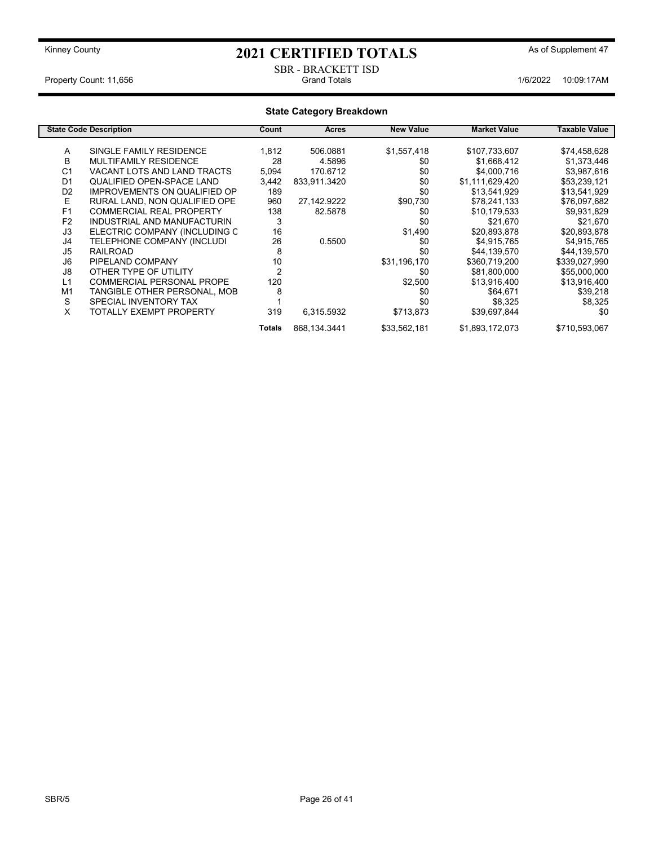#### SBR - BRACKETT ISD<br>Grand Totals Property Count: 11,656 **1/6/2022** 10:09:17AM

| <b>State Category Breakdown</b> |                                     |                |                |                  |                     |               |
|---------------------------------|-------------------------------------|----------------|----------------|------------------|---------------------|---------------|
|                                 | <b>State Code Description</b>       | Count          | Acres          | <b>New Value</b> | <b>Market Value</b> | Taxable Value |
| A                               | SINGLE FAMILY RESIDENCE             | 1,812          | 506.0881       | \$1,557,418      | \$107,733,607       | \$74,458,628  |
| B                               | <b>MULTIFAMILY RESIDENCE</b>        | 28             | 4.5896         | \$0              | \$1,668,412         | \$1,373,446   |
| C <sub>1</sub>                  | VACANT LOTS AND LAND TRACTS         | 5,094          | 170.6712       | \$0              | \$4,000,716         | \$3,987,616   |
| D <sub>1</sub>                  | QUALIFIED OPEN-SPACE LAND           | 3,442          | 833,911.3420   | \$0              | \$1,111,629,420     | \$53,239,121  |
| D <sub>2</sub>                  | <b>IMPROVEMENTS ON QUALIFIED OP</b> | 189            |                | \$0              | \$13,541,929        | \$13,541,929  |
| E                               | RURAL LAND, NON QUALIFIED OPE       | 960            | 27,142.9222    | \$90,730         | \$78,241,133        | \$76,097,682  |
| F <sub>1</sub>                  | <b>COMMERCIAL REAL PROPERTY</b>     | 138            | 82.5878        | \$0              | \$10,179,533        | \$9,931,829   |
| F <sub>2</sub>                  | INDUSTRIAL AND MANUFACTURIN         | 3              |                | \$0              | \$21,670            | \$21,670      |
| J3                              | ELECTRIC COMPANY (INCLUDING C       | 16             |                | \$1,490          | \$20,893,878        | \$20,893,878  |
| J4                              | TELEPHONE COMPANY (INCLUDI          | 26             | 0.5500         | \$0              | \$4,915,765         | \$4,915,765   |
| J5                              | <b>RAILROAD</b>                     | 8              |                | \$0              | \$44,139,570        | \$44,139,570  |
| J6                              | PIPELAND COMPANY                    | 10             |                | \$31,196,170     | \$360,719,200       | \$339,027,990 |
| J8                              | OTHER TYPE OF UTILITY               | $\overline{2}$ |                | \$0              | \$81,800,000        | \$55,000,000  |
| L1                              | <b>COMMERCIAL PERSONAL PROPE</b>    | 120            |                | \$2,500          | \$13,916,400        | \$13,916,400  |
| M1                              | TANGIBLE OTHER PERSONAL, MOB        | 8              |                | \$0              | \$64,671            | \$39,218      |
| S                               | SPECIAL INVENTORY TAX               |                |                | \$0              | \$8,325             | \$8,325       |
| X                               | <b>TOTALLY EXEMPT PROPERTY</b>      | 319            | 6,315.5932     | \$713,873        | \$39,697,844        | \$0           |
|                                 |                                     | Totals         | 868, 134. 3441 | \$33,562,181     | \$1,893,172,073     | \$710,593,067 |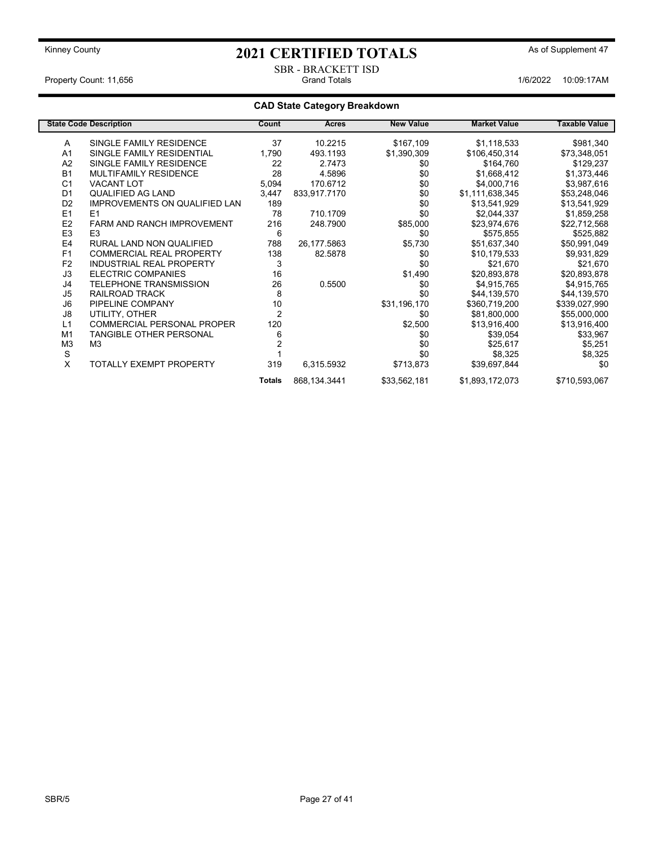#### SBR - BRACKETT ISD Property Count: 11,656 **Count: 11,656** Crand Totals 1/6/2022 10:09:17AM

### CAD State Category Breakdown

|                | <b>State Code Description</b>        | Count          | Acres          | <b>New Value</b> | <b>Market Value</b> | <b>Taxable Value</b> |
|----------------|--------------------------------------|----------------|----------------|------------------|---------------------|----------------------|
| A              | SINGLE FAMILY RESIDENCE              | 37             | 10.2215        | \$167,109        | \$1,118,533         | \$981,340            |
| A <sub>1</sub> | SINGLE FAMILY RESIDENTIAL            | 1,790          | 493.1193       | \$1,390,309      | \$106,450,314       | \$73,348,051         |
| A2             | SINGLE FAMILY RESIDENCE              | 22             | 2.7473         | \$0              | \$164,760           | \$129,237            |
| <b>B1</b>      | <b>MULTIFAMILY RESIDENCE</b>         | 28             | 4.5896         | \$0              | \$1,668,412         | \$1,373,446          |
| C <sub>1</sub> | <b>VACANT LOT</b>                    | 5,094          | 170.6712       | \$0              | \$4,000,716         | \$3,987,616          |
| D <sub>1</sub> | QUALIFIED AG LAND                    | 3,447          | 833,917.7170   | \$0              | \$1,111,638,345     | \$53,248,046         |
| D <sub>2</sub> | <b>IMPROVEMENTS ON QUALIFIED LAN</b> | 189            |                | \$0              | \$13,541,929        | \$13,541,929         |
| E1             | E1                                   | 78             | 710.1709       | \$0              | \$2,044,337         | \$1,859,258          |
| E <sub>2</sub> | <b>FARM AND RANCH IMPROVEMENT</b>    | 216            | 248.7900       | \$85,000         | \$23,974,676        | \$22,712,568         |
| E <sub>3</sub> | E <sub>3</sub>                       | 6              |                | \$0              | \$575,855           | \$525,882            |
| E <sub>4</sub> | RURAL LAND NON QUALIFIED             | 788            | 26,177.5863    | \$5,730          | \$51,637,340        | \$50,991,049         |
| F1             | <b>COMMERCIAL REAL PROPERTY</b>      | 138            | 82.5878        | \$0              | \$10,179,533        | \$9,931,829          |
| F <sub>2</sub> | <b>INDUSTRIAL REAL PROPERTY</b>      | 3              |                | \$0              | \$21,670            | \$21,670             |
| J3             | <b>ELECTRIC COMPANIES</b>            | 16             |                | \$1,490          | \$20,893,878        | \$20,893,878         |
| J4             | <b>TELEPHONE TRANSMISSION</b>        | 26             | 0.5500         | \$0              | \$4,915,765         | \$4,915,765          |
| J5             | RAILROAD TRACK                       | 8              |                | \$0              | \$44,139,570        | \$44,139,570         |
| J6             | PIPELINE COMPANY                     | 10             |                | \$31,196,170     | \$360,719,200       | \$339,027,990        |
| J8             | UTILITY, OTHER                       | $\overline{2}$ |                | \$0              | \$81,800,000        | \$55,000,000         |
| L1             | <b>COMMERCIAL PERSONAL PROPER</b>    | 120            |                | \$2,500          | \$13,916,400        | \$13,916,400         |
| M <sub>1</sub> | <b>TANGIBLE OTHER PERSONAL</b>       | 6              |                | \$0              | \$39,054            | \$33,967             |
| M <sub>3</sub> | M3                                   |                |                | \$0              | \$25,617            | \$5,251              |
| S              |                                      |                |                | \$0              | \$8,325             | \$8,325              |
| X              | <b>TOTALLY EXEMPT PROPERTY</b>       | 319            | 6,315.5932     | \$713,873        | \$39,697,844        | \$0                  |
|                |                                      | <b>Totals</b>  | 868, 134. 3441 | \$33,562,181     | \$1,893,172,073     | \$710,593,067        |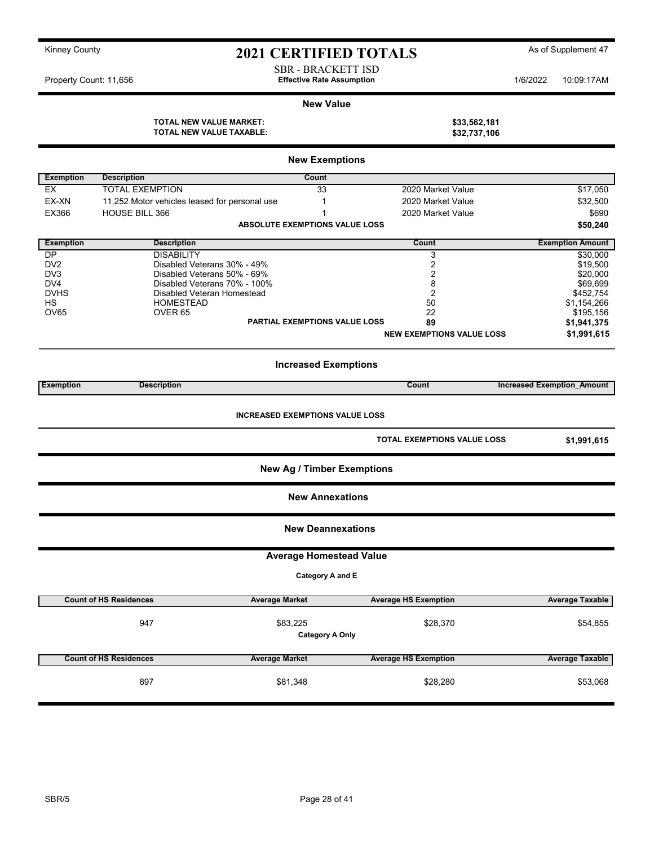| Kinney County |  |
|---------------|--|
|---------------|--|

## 2021 CERTIFIED TOTALS As of Supplement 47

SBR - BRACKETT ISD Property Count: 11,656 **10:09:17AM** Effective Rate Assumption 1/6/2022 10:09:17AM

#### New Value

TOTAL NEW VALUE MARKET: \$33,562,181<br>TOTAL NEW VALUE TAXABLE: \$32,737,106 TOTAL NEW VALUE TAXABLE:

|                  |                                               | <b>New Exemptions</b>             |                                    |                                   |
|------------------|-----------------------------------------------|-----------------------------------|------------------------------------|-----------------------------------|
| <b>Exemption</b> | <b>Description</b>                            | Count                             |                                    |                                   |
| <b>EX</b>        | <b>TOTAL EXEMPTION</b>                        | 33                                | 2020 Market Value                  | \$17,050                          |
| EX-XN            | 11.252 Motor vehicles leased for personal use | $\mathbf{1}$                      | 2020 Market Value                  | \$32,500                          |
| <b>EX366</b>     | <b>HOUSE BILL 366</b>                         | $\mathbf{1}$                      | 2020 Market Value                  | \$690                             |
|                  |                                               | ABSOLUTE EXEMPTIONS VALUE LOSS    |                                    | \$50,240                          |
| <b>Exemption</b> | <b>Description</b>                            |                                   | Count                              | <b>Exemption Amount</b>           |
| DP.              | <b>DISABILITY</b>                             |                                   | 3                                  | \$30,000                          |
| DV <sub>2</sub>  | Disabled Veterans 30% - 49%                   |                                   | $\overline{c}$                     | \$19,500                          |
| DV <sub>3</sub>  | Disabled Veterans 50% - 69%                   |                                   | 2                                  | \$20,000                          |
| DV4              | Disabled Veterans 70% - 100%                  |                                   | 8                                  | \$69,699                          |
| <b>DVHS</b>      | Disabled Veteran Homestead                    |                                   | $\overline{2}$                     | \$452,754                         |
| НS               | <b>HOMESTEAD</b>                              |                                   | 50                                 | \$1,154,266                       |
| <b>OV65</b>      | OVER <sub>65</sub>                            | PARTIAL EXEMPTIONS VALUE LOSS     | 22<br>89                           | \$195,156                         |
|                  |                                               |                                   |                                    | \$1,941,375                       |
|                  |                                               |                                   | <b>NEW EXEMPTIONS VALUE LOSS</b>   | \$1,991,615                       |
|                  |                                               | <b>Increased Exemptions</b>       |                                    |                                   |
| <b>Exemption</b> | <b>Description</b>                            |                                   | Count                              | <b>Increased Exemption Amount</b> |
|                  |                                               |                                   | <b>TOTAL EXEMPTIONS VALUE LOSS</b> | \$1,991,615                       |
|                  |                                               | <b>New Ag / Timber Exemptions</b> |                                    |                                   |
|                  |                                               | <b>New Annexations</b>            |                                    |                                   |
|                  |                                               | <b>New Deannexations</b>          |                                    |                                   |
|                  |                                               | <b>Average Homestead Value</b>    |                                    |                                   |
|                  |                                               | Category A and E                  |                                    |                                   |
|                  | <b>Count of HS Residences</b>                 | <b>Average Market</b>             | <b>Average HS Exemption</b>        | <b>Average Taxable</b>            |
|                  | 947                                           | \$83,225                          | \$28,370                           | \$54,855                          |
|                  |                                               | <b>Category A Only</b>            |                                    |                                   |
|                  | <b>Count of HS Residences</b>                 | <b>Average Market</b>             | <b>Average HS Exemption</b>        | <b>Average Taxable</b>            |
|                  | 897                                           | \$81,348                          | \$28,280                           | \$53,068                          |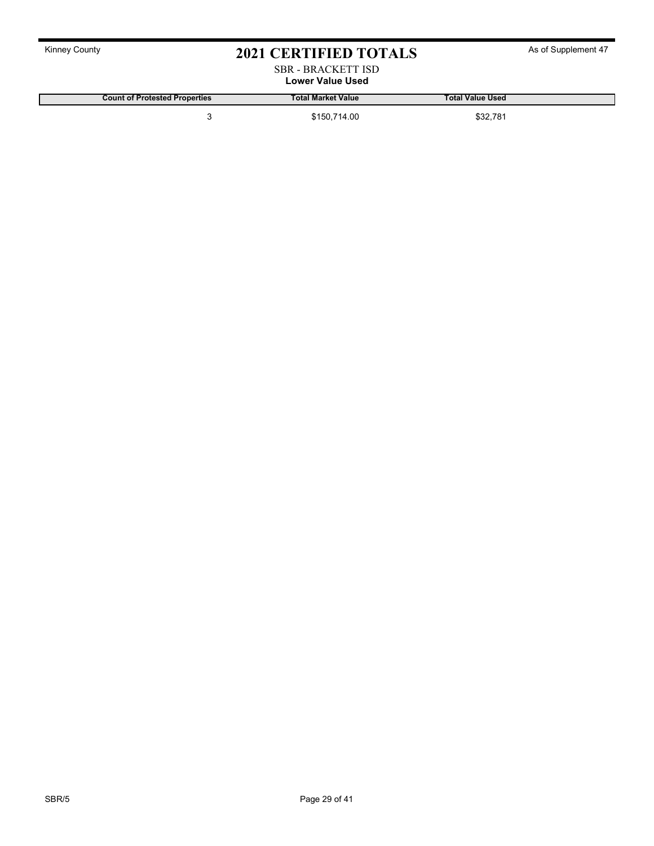| <b>Kinney County</b> |  |
|----------------------|--|
|----------------------|--|

# 2021 CERTIFIED TOTALS As of Supplement 47

#### SBR - BRACKETT ISD Lower Value Used

Count of Protested Properties Total Market Value Total Value Used 3 \$150,714.00 \$32,781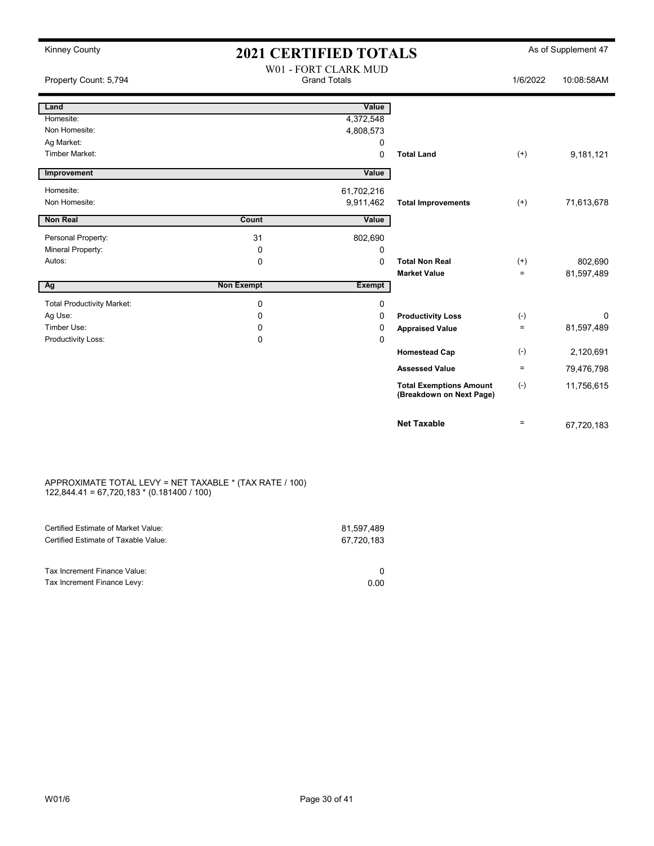| <b>Kinney County</b>              |                   | <b>2021 CERTIFIED TOTALS</b>                |                                                            |              | As of Supplement 47 |
|-----------------------------------|-------------------|---------------------------------------------|------------------------------------------------------------|--------------|---------------------|
| Property Count: 5,794             |                   | W01 - FORT CLARK MUD<br><b>Grand Totals</b> |                                                            | 1/6/2022     | 10:08:58AM          |
| Land                              |                   | Value                                       |                                                            |              |                     |
| Homesite:                         |                   | 4,372,548                                   |                                                            |              |                     |
| Non Homesite:                     |                   | 4,808,573                                   |                                                            |              |                     |
| Ag Market:                        |                   | 0                                           |                                                            |              |                     |
| <b>Timber Market:</b>             |                   | 0                                           | <b>Total Land</b>                                          | $^{(+)}$     | 9,181,121           |
| Improvement                       |                   | Value                                       |                                                            |              |                     |
| Homesite:                         |                   | 61,702,216                                  |                                                            |              |                     |
| Non Homesite:                     |                   | 9,911,462                                   | <b>Total Improvements</b>                                  | $^{(+)}$     | 71,613,678          |
| <b>Non Real</b>                   | Count             | Value                                       |                                                            |              |                     |
| Personal Property:                | 31                | 802,690                                     |                                                            |              |                     |
| Mineral Property:                 | 0                 | 0                                           |                                                            |              |                     |
| Autos:                            | $\mathbf 0$       | $\Omega$                                    | <b>Total Non Real</b>                                      | $^{(+)}$     | 802,690             |
|                                   |                   |                                             | <b>Market Value</b>                                        | $=$          | 81,597,489          |
| Ag                                | <b>Non Exempt</b> | <b>Exempt</b>                               |                                                            |              |                     |
| <b>Total Productivity Market:</b> | $\mathbf 0$       | 0                                           |                                                            |              |                     |
| Ag Use:                           | $\Omega$          | 0                                           | <b>Productivity Loss</b>                                   | $(\text{-})$ | $\Omega$            |
| Timber Use:                       | 0                 | 0                                           | <b>Appraised Value</b>                                     | ÷.           | 81,597,489          |
| Productivity Loss:                | 0                 | 0                                           |                                                            |              |                     |
|                                   |                   |                                             | <b>Homestead Cap</b>                                       | $(-)$        | 2,120,691           |
|                                   |                   |                                             | <b>Assessed Value</b>                                      | $\equiv$     | 79,476,798          |
|                                   |                   |                                             | <b>Total Exemptions Amount</b><br>(Breakdown on Next Page) | $(-)$        | 11,756,615          |
|                                   |                   |                                             | <b>Net Taxable</b>                                         | $=$          | 67,720,183          |

#### APPROXIMATE TOTAL LEVY = NET TAXABLE \* (TAX RATE / 100) 122,844.41 = 67,720,183 \* (0.181400 / 100)

| Certified Estimate of Market Value:<br>Certified Estimate of Taxable Value: | 81,597,489<br>67,720,183 |
|-----------------------------------------------------------------------------|--------------------------|
| Tax Increment Finance Value:                                                |                          |
| Tax Increment Finance Levy:                                                 | 0.00                     |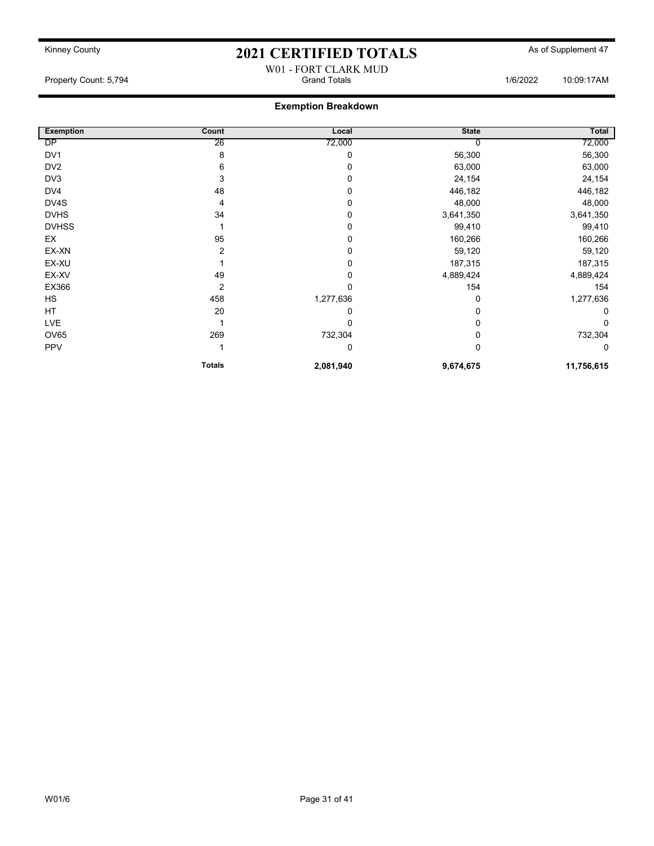## W01 - FORT CLARK MUD

Property Count: 5,794 **Crambuse 1/6/2022** 10:09:17AM

### Exemption Breakdown

| <b>Exemption</b> | Count         | Local     | <b>State</b> | Total      |
|------------------|---------------|-----------|--------------|------------|
| DP               | 26            | 72,000    |              | 72,000     |
| DV1              | 8             | 0         | 56,300       | 56,300     |
| DV <sub>2</sub>  | 6             | 0         | 63,000       | 63,000     |
| DV3              | 3             | 0         | 24,154       | 24,154     |
| DV4              | 48            | 0         | 446,182      | 446,182    |
| DV4S             | 4             | 0         | 48,000       | 48,000     |
| <b>DVHS</b>      | 34            | 0         | 3,641,350    | 3,641,350  |
| <b>DVHSS</b>     |               | 0         | 99,410       | 99,410     |
| EX               | 95            | 0         | 160,266      | 160,266    |
| EX-XN            | 2             | 0         | 59,120       | 59,120     |
| EX-XU            |               | 0         | 187,315      | 187,315    |
| EX-XV            | 49            | 0         | 4,889,424    | 4,889,424  |
| EX366            | 2             | 0         | 154          | 154        |
| HS               | 458           | 1,277,636 | 0            | 1,277,636  |
| HT               | 20            | 0         | 0            |            |
| <b>LVE</b>       |               | 0         | 0            |            |
| OV65             | 269           | 732,304   | 0            | 732,304    |
| <b>PPV</b>       |               | 0         | 0            | 0          |
|                  | <b>Totals</b> | 2,081,940 | 9,674,675    | 11,756,615 |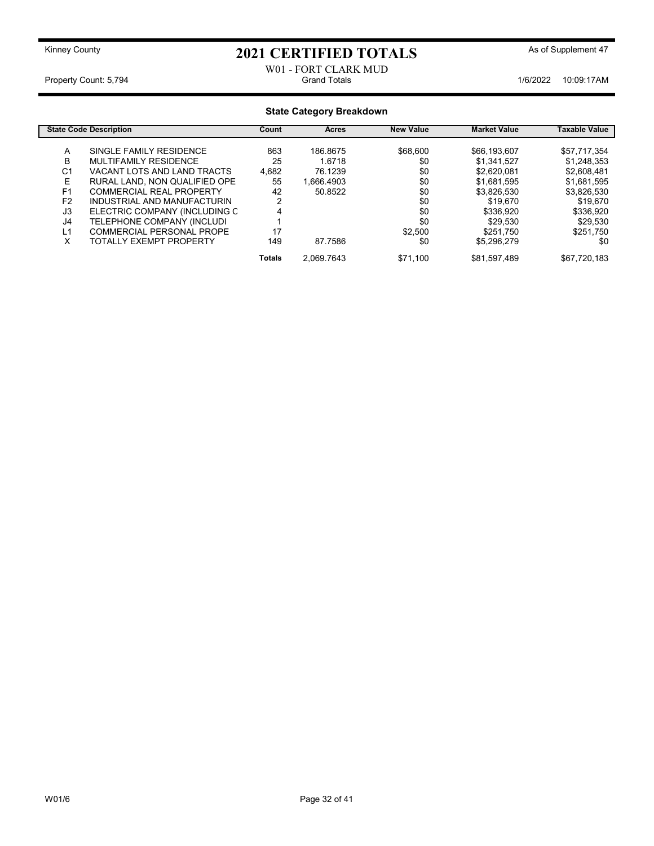#### W01 - FORT CLARK MUD<br>Grand Totals Property Count: 5,794 **1/6/2022 10:09:17AM** Grand Totals **Count: 5,794** 10:09:17AM

#### State Category Breakdown State Code Description **State Code Description** Count Acres New Value Market Value Taxable Value A SINGLE FAMILY RESIDENCE 863 186.8675 \$68,600 \$66,193,607 \$57,717,354<br>B MULTIFAMILY RESIDENCE 25 1.6718 \$0 \$1,341,527 \$1,248,353 MULTIFAMILY RESIDENCE 25<br>VACANT LOTS AND LAND TRACTS 4,682 C1 VACANT LOTS AND LAND TRACTS 4,682 76.1239 \$0 \$2,620,081 \$2,608,481<br>E RURAL LAND, NON QUALIFIED OPE 55 1,666.4903 \$0 \$1,681,595 \$1,681,595 RURAL LAND, NON QUALIFIED OPE F1 COMMERCIAL REAL PROPERTY 42 50.8522 \$0 \$3,826,530 \$3,826,530 \$3,826,530<br>F2 INDUSTRIAL AND MANUFACTURIN 2 \$0 \$19,670 \$19,670 \$19,670 F2 INDUSTRIAL AND MANUFACTURIN 2<br>  $\begin{array}{ccc} 2 & 4 & 519,670 \\ 3 & 519,670 & 519,670 \end{array}$  \$19,670 J3 ELECTRIC COMPANY (INCLUDING C 4 \$0 \$336,920 \$336,920 \$336,920<br>J4 TELEPHONE COMPANY (INCLUDI 1 1 \$0 \$29,530 \$29,530 \$29,530 J4 TELEPHONE COMPANY (INCLUDI 1 \$0 \$29,530 \$29,530 L1 COMMERCIAL PERSONAL PROPE 17 \$2,500 \$251,750 \$251,750 TOTALLY EXEMPT PROPERTY 149 87.7586 \$0 \$5,296,279 \$0 Totals 2,069.7643 \$71,100 \$81,597,489 \$67,720,183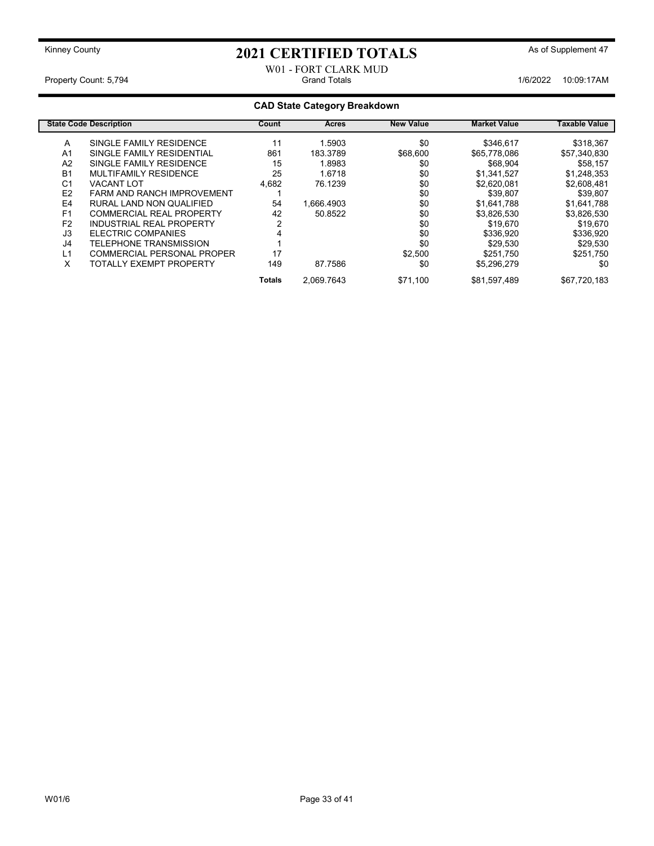#### W01 - FORT CLARK MUD Property Count: 5,794 **Crambuse 20:00:17AM** Crambuse 3.16/2022 10:09:17AM 1/6/2022 10:09:17AM

### CAD State Category Breakdown

|                | <b>State Code Description</b>     | Count  | <b>Acres</b> | <b>New Value</b> | <b>Market Value</b> | Taxable Value |
|----------------|-----------------------------------|--------|--------------|------------------|---------------------|---------------|
| A              | SINGLE FAMILY RESIDENCE           | 11     | 1.5903       | \$0              | \$346.617           | \$318,367     |
| A <sub>1</sub> | SINGLE FAMILY RESIDENTIAL         | 861    | 183.3789     | \$68,600         | \$65,778,086        | \$57,340,830  |
| A <sub>2</sub> | SINGLE FAMILY RESIDENCE           | 15     | 1.8983       | \$0              | \$68.904            | \$58,157      |
| B <sub>1</sub> | MULTIFAMILY RESIDENCE             | 25     | 1.6718       | \$0              | \$1,341,527         | \$1,248,353   |
| C <sub>1</sub> | <b>VACANT LOT</b>                 | 4,682  | 76.1239      | \$0              | \$2,620,081         | \$2,608,481   |
| E <sub>2</sub> | <b>FARM AND RANCH IMPROVEMENT</b> |        |              | \$0              | \$39.807            | \$39,807      |
| E4             | RURAL LAND NON QUALIFIED          | 54     | 1.666.4903   | \$0              | \$1,641,788         | \$1.641.788   |
| F <sub>1</sub> | <b>COMMERCIAL REAL PROPERTY</b>   | 42     | 50.8522      | \$0              | \$3,826,530         | \$3,826,530   |
| F <sub>2</sub> | INDUSTRIAL REAL PROPERTY          |        |              | \$0              | \$19,670            | \$19,670      |
| J3             | ELECTRIC COMPANIES                | 4      |              | \$0              | \$336,920           | \$336,920     |
| J4             | TELEPHONE TRANSMISSION            |        |              | \$0              | \$29.530            | \$29.530      |
| L1             | COMMERCIAL PERSONAL PROPER        | 17     |              | \$2,500          | \$251.750           | \$251.750     |
| X              | <b>TOTALLY EXEMPT PROPERTY</b>    | 149    | 87.7586      | \$0              | \$5,296,279         | \$0           |
|                |                                   | Totals | 2.069.7643   | \$71,100         | \$81,597,489        | \$67,720,183  |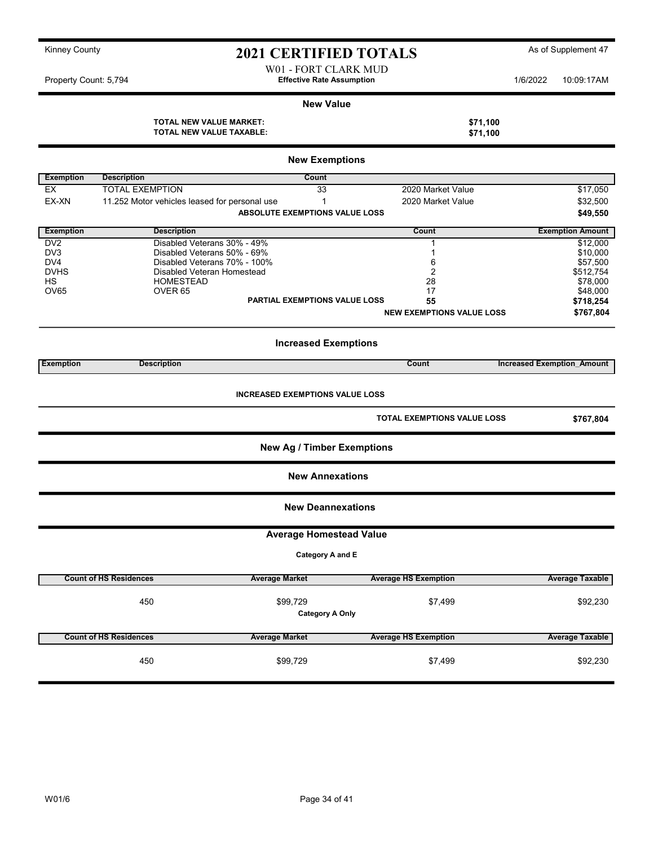### Kinney County **As of Supplement 47** 2021 CERTIFIED TOTALS As of Supplement 47 W01 - FORT CLARK MUD

Property Count: 5,794 **1/6/2022** 10:09:17AM

#### New Value

#### TOTAL NEW VALUE MARKET:<br>
TOTAL NEW VALUE TAXABLE: \$71,100<br>
\$71,100 TOTAL NEW VALUE TAXABLE:

|                  |                                               | <b>New Exemptions</b>                  |                                  |                                   |
|------------------|-----------------------------------------------|----------------------------------------|----------------------------------|-----------------------------------|
| <b>Exemption</b> | <b>Description</b>                            | Count                                  |                                  |                                   |
| EX               | <b>TOTAL EXEMPTION</b>                        | 33                                     | 2020 Market Value                | \$17,050                          |
| EX-XN            | 11.252 Motor vehicles leased for personal use | $\mathbf{1}$                           | 2020 Market Value                | \$32,500                          |
|                  |                                               | ABSOLUTE EXEMPTIONS VALUE LOSS         |                                  | \$49,550                          |
| <b>Exemption</b> | <b>Description</b>                            |                                        | Count                            | <b>Exemption Amount</b>           |
| DV <sub>2</sub>  |                                               | Disabled Veterans 30% - 49%            | $\mathbf{1}$                     | \$12,000                          |
| DV <sub>3</sub>  |                                               | Disabled Veterans 50% - 69%            | 1                                | \$10,000                          |
| DV4              |                                               | Disabled Veterans 70% - 100%           | 6                                | \$57,500                          |
| <b>DVHS</b>      |                                               | Disabled Veteran Homestead             | 2                                | \$512,754                         |
| HS               | <b>HOMESTEAD</b>                              |                                        | 28                               | \$78,000                          |
| <b>OV65</b>      | OVER <sub>65</sub>                            |                                        | 17                               | \$48,000                          |
|                  |                                               | <b>PARTIAL EXEMPTIONS VALUE LOSS</b>   | 55                               | \$718,254                         |
|                  |                                               |                                        |                                  |                                   |
|                  |                                               |                                        | <b>NEW EXEMPTIONS VALUE LOSS</b> | \$767,804                         |
|                  |                                               | <b>Increased Exemptions</b>            |                                  |                                   |
| <b>Exemption</b> | <b>Description</b>                            |                                        | Count                            | <b>Increased Exemption Amount</b> |
|                  |                                               | <b>INCREASED EXEMPTIONS VALUE LOSS</b> | TOTAL EXEMPTIONS VALUE LOSS      | \$767,804                         |
|                  |                                               |                                        |                                  |                                   |
|                  |                                               | <b>New Ag / Timber Exemptions</b>      |                                  |                                   |
|                  |                                               | <b>New Annexations</b>                 |                                  |                                   |
|                  |                                               |                                        | <b>New Deannexations</b>         |                                   |
|                  |                                               | <b>Average Homestead Value</b>         |                                  |                                   |
|                  |                                               | Category A and E                       |                                  |                                   |
|                  | <b>Count of HS Residences</b>                 | <b>Average Market</b>                  | <b>Average HS Exemption</b>      | <b>Average Taxable</b>            |
|                  |                                               |                                        |                                  |                                   |
|                  | 450                                           | \$99,729<br><b>Category A Only</b>     | \$7,499                          | \$92,230                          |
|                  | <b>Count of HS Residences</b>                 | <b>Average Market</b>                  | <b>Average HS Exemption</b>      | <b>Average Taxable</b>            |
|                  | 450                                           | \$99,729                               | \$7,499                          | \$92,230                          |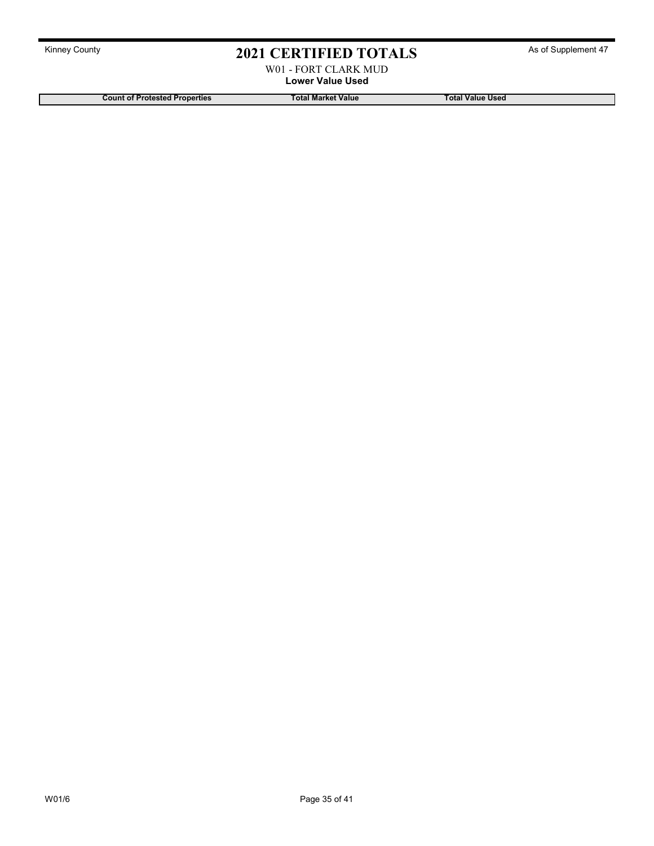W01 - FORT CLARK MUD Lower Value Used

Count of Protested Properties Total Market Value Total Market Value Total Value Used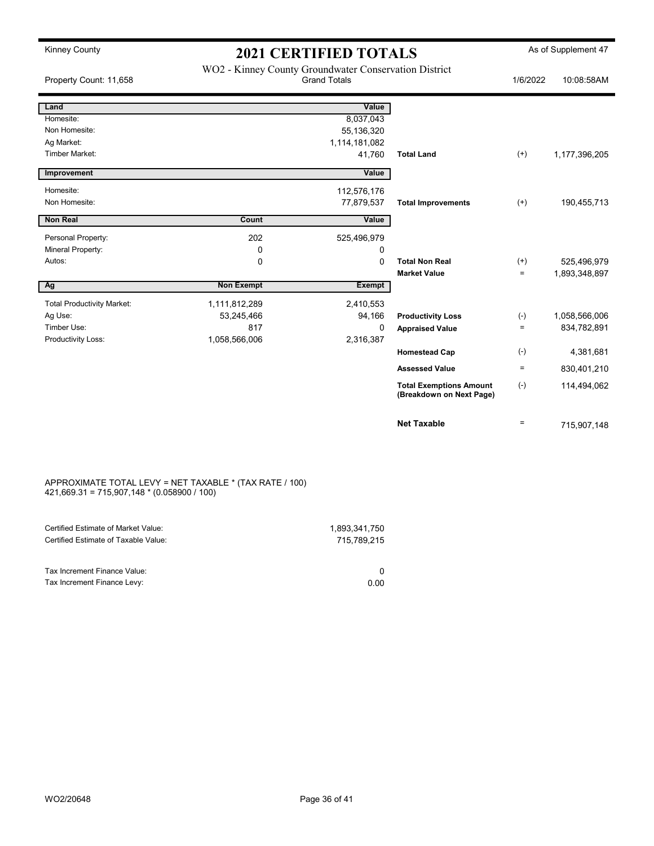| <b>Kinney County</b>              | <b>2021 CERTIFIED TOTALS</b>                          |                     |                                                            |          | As of Supplement 47 |
|-----------------------------------|-------------------------------------------------------|---------------------|------------------------------------------------------------|----------|---------------------|
| Property Count: 11,658            | WO2 - Kinney County Groundwater Conservation District | <b>Grand Totals</b> |                                                            | 1/6/2022 | 10:08:58AM          |
| Land                              |                                                       | Value               |                                                            |          |                     |
| Homesite:                         |                                                       | 8,037,043           |                                                            |          |                     |
| Non Homesite:                     |                                                       | 55,136,320          |                                                            |          |                     |
| Ag Market:                        |                                                       | 1,114,181,082       |                                                            |          |                     |
| <b>Timber Market:</b>             |                                                       | 41,760              | <b>Total Land</b>                                          | $^{(+)}$ | 1,177,396,205       |
| Improvement                       |                                                       | Value               |                                                            |          |                     |
| Homesite:                         |                                                       | 112,576,176         |                                                            |          |                     |
| Non Homesite:                     |                                                       | 77,879,537          | <b>Total Improvements</b>                                  | $(+)$    | 190,455,713         |
| <b>Non Real</b>                   | Count                                                 | Value               |                                                            |          |                     |
| Personal Property:                | 202                                                   | 525,496,979         |                                                            |          |                     |
| Mineral Property:                 | 0                                                     | $\Omega$            |                                                            |          |                     |
| Autos:                            | 0                                                     | $\Omega$            | <b>Total Non Real</b>                                      | $^{(+)}$ | 525,496,979         |
|                                   |                                                       |                     | <b>Market Value</b>                                        | $\equiv$ | 1,893,348,897       |
| Ag                                | <b>Non Exempt</b>                                     | <b>Exempt</b>       |                                                            |          |                     |
| <b>Total Productivity Market:</b> | 1,111,812,289                                         | 2,410,553           |                                                            |          |                     |
| Ag Use:                           | 53,245,466                                            | 94,166              | <b>Productivity Loss</b>                                   | $(-)$    | 1,058,566,006       |
| Timber Use:                       | 817                                                   | 0                   | <b>Appraised Value</b>                                     | $=$      | 834,782,891         |
| Productivity Loss:                | 1,058,566,006                                         | 2,316,387           |                                                            |          |                     |
|                                   |                                                       |                     | <b>Homestead Cap</b>                                       | $(-)$    | 4,381,681           |
|                                   |                                                       |                     | <b>Assessed Value</b>                                      | $=$      | 830,401,210         |
|                                   |                                                       |                     | <b>Total Exemptions Amount</b><br>(Breakdown on Next Page) | $(-)$    | 114,494,062         |
|                                   |                                                       |                     | <b>Net Taxable</b>                                         | $\equiv$ | 715,907,148         |

#### APPROXIMATE TOTAL LEVY = NET TAXABLE \* (TAX RATE / 100) 421,669.31 = 715,907,148 \* (0.058900 / 100)

| Certified Estimate of Market Value:  | 1.893.341.750 |
|--------------------------------------|---------------|
| Certified Estimate of Taxable Value: | 715.789.215   |
|                                      |               |
| Tax Increment Finance Value:         |               |
| Tax Increment Finance Levy:          | 0.00          |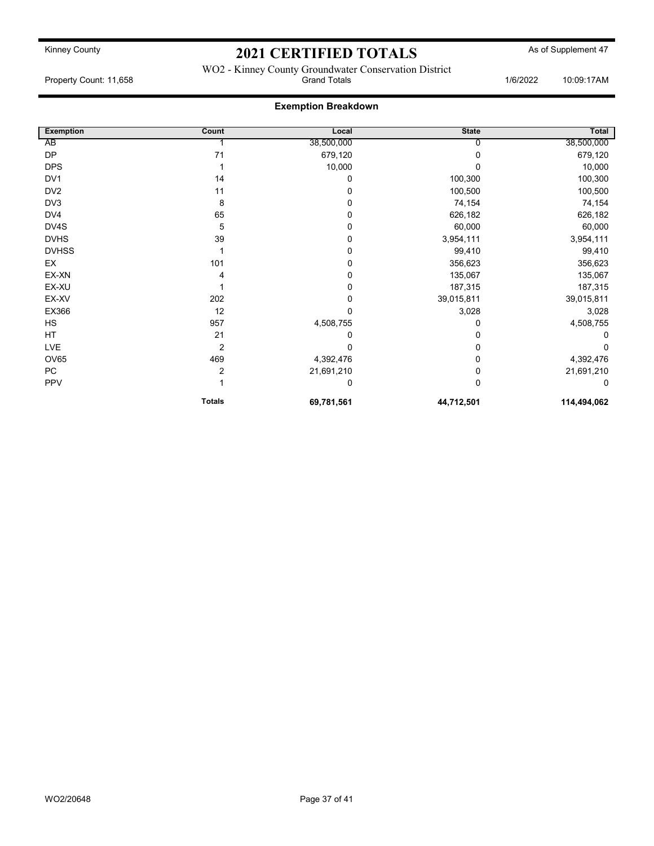WO2 - Kinney County Groundwater Conservation District Property Count: 11,658 **Count: 11,658** Crand Totals 1/6/2022 10:09:17AM

### Exemption Breakdown

| <b>Exemption</b> | Count          | Local       | <b>State</b> | Total       |
|------------------|----------------|-------------|--------------|-------------|
| AB               |                | 38,500,000  |              | 38,500,000  |
| <b>DP</b>        | 71             | 679,120     |              | 679,120     |
| <b>DPS</b>       |                | 10,000      |              | 10,000      |
| DV <sub>1</sub>  | 14             | 0           | 100,300      | 100,300     |
| DV <sub>2</sub>  | 11             | $\Omega$    | 100,500      | 100,500     |
| DV3              | 8              | $\Omega$    | 74,154       | 74,154      |
| DV4              | 65             | 0           | 626,182      | 626,182     |
| DV4S             | 5              | $\mathbf 0$ | 60,000       | 60,000      |
| <b>DVHS</b>      | 39             | 0           | 3,954,111    | 3,954,111   |
| <b>DVHSS</b>     |                | 0           | 99,410       | 99,410      |
| EX               | 101            | 0           | 356,623      | 356,623     |
| EX-XN            |                | 0           | 135,067      | 135,067     |
| EX-XU            |                | 0           | 187,315      | 187,315     |
| EX-XV            | 202            | 0           | 39,015,811   | 39,015,811  |
| EX366            | 12             | $\mathbf 0$ | 3,028        | 3,028       |
| HS               | 957            | 4,508,755   | 0            | 4,508,755   |
| HT               | 21             | 0           | 0            | O           |
| LVE              | $\overline{2}$ |             |              | ŋ           |
| <b>OV65</b>      | 469            | 4,392,476   | 0            | 4,392,476   |
| PC               | $\overline{2}$ | 21,691,210  | 0            | 21,691,210  |
| PPV              |                | 0           | 0            | 0           |
|                  | <b>Totals</b>  | 69,781,561  | 44,712,501   | 114,494,062 |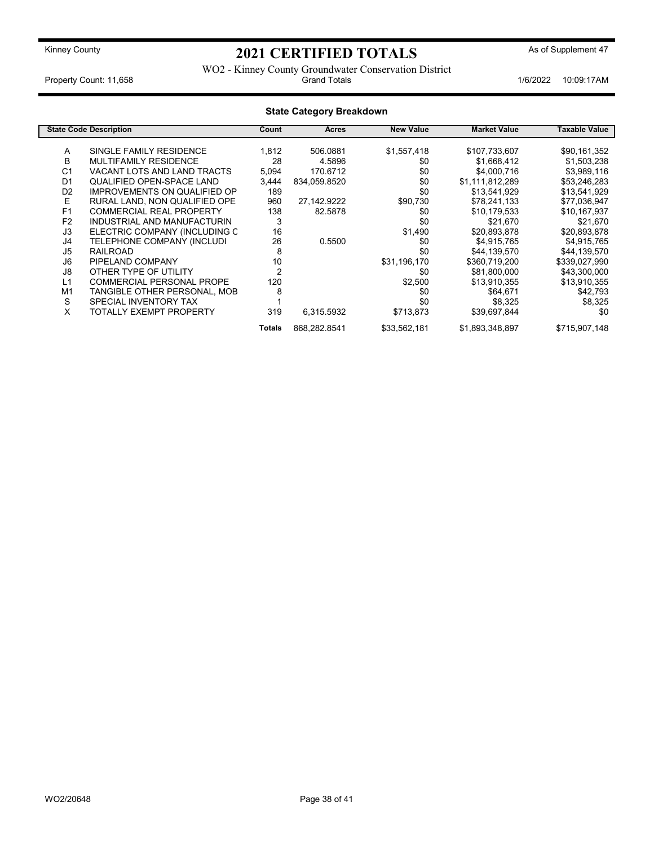WO2 - Kinney County Groundwater Conservation District Property Count: 11,658 **1/6/2022 10:09:17AM** Crand Totals **1/6/2022 10:09:17AM** 

|                | <b>State Category Breakdown</b>     |        |              |                  |                     |               |
|----------------|-------------------------------------|--------|--------------|------------------|---------------------|---------------|
|                | <b>State Code Description</b>       | Count  | Acres        | <b>New Value</b> | <b>Market Value</b> | Taxable Value |
| A              | SINGLE FAMILY RESIDENCE             | 1,812  | 506.0881     | \$1,557,418      | \$107,733,607       | \$90,161,352  |
| B              | MULTIFAMILY RESIDENCE               | 28     | 4.5896       | \$0              | \$1,668,412         | \$1,503,238   |
| C <sub>1</sub> | VACANT LOTS AND LAND TRACTS         | 5,094  | 170.6712     | \$0              | \$4,000,716         | \$3,989,116   |
| D <sub>1</sub> | QUALIFIED OPEN-SPACE LAND           | 3,444  | 834,059.8520 | \$0              | \$1,111,812,289     | \$53,246,283  |
| D <sub>2</sub> | <b>IMPROVEMENTS ON QUALIFIED OP</b> | 189    |              | \$0              | \$13,541,929        | \$13,541,929  |
| E              | RURAL LAND, NON QUALIFIED OPE       | 960    | 27,142.9222  | \$90,730         | \$78,241,133        | \$77,036,947  |
| F <sub>1</sub> | <b>COMMERCIAL REAL PROPERTY</b>     | 138    | 82.5878      | \$0              | \$10,179,533        | \$10,167,937  |
| F <sub>2</sub> | INDUSTRIAL AND MANUFACTURIN         | 3      |              | \$0              | \$21,670            | \$21,670      |
| J3             | ELECTRIC COMPANY (INCLUDING C       | 16     |              | \$1,490          | \$20,893,878        | \$20,893,878  |
| J4             | TELEPHONE COMPANY (INCLUDI          | 26     | 0.5500       | \$0              | \$4,915,765         | \$4,915,765   |
| J <sub>5</sub> | <b>RAILROAD</b>                     | 8      |              | \$0              | \$44,139,570        | \$44,139,570  |
| J6             | PIPELAND COMPANY                    | 10     |              | \$31,196,170     | \$360,719,200       | \$339,027,990 |
| J8             | OTHER TYPE OF UTILITY               |        |              | \$0              | \$81,800,000        | \$43,300,000  |
| L1             | <b>COMMERCIAL PERSONAL PROPE</b>    | 120    |              | \$2,500          | \$13,910,355        | \$13,910,355  |
| M1             | TANGIBLE OTHER PERSONAL, MOB        | 8      |              | \$0              | \$64,671            | \$42,793      |
| S              | SPECIAL INVENTORY TAX               |        |              | \$0              | \$8,325             | \$8,325       |
| X              | <b>TOTALLY EXEMPT PROPERTY</b>      | 319    | 6,315.5932   | \$713,873        | \$39,697,844        | \$0           |
|                |                                     | Totals | 868,282.8541 | \$33,562,181     | \$1,893,348,897     | \$715,907,148 |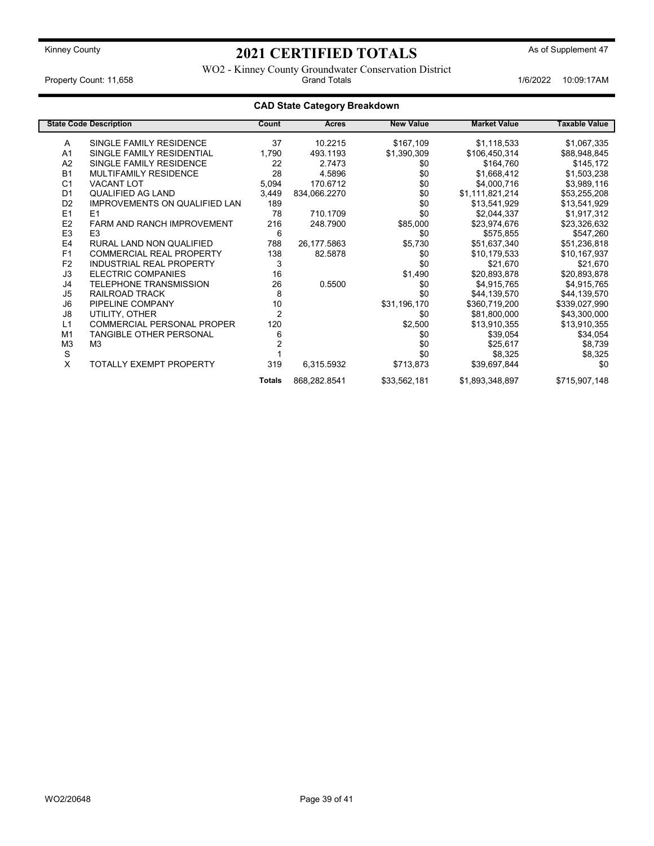WO2 - Kinney County Groundwater Conservation District Property Count: 11,658 **Count: 11,658** Crand Totals 1/6/2022 10:09:17AM

### CAD State Category Breakdown

|                | <b>State Code Description</b>        | Count          | Acres        | <b>New Value</b> | <b>Market Value</b> | <b>Taxable Value</b> |
|----------------|--------------------------------------|----------------|--------------|------------------|---------------------|----------------------|
| A              | SINGLE FAMILY RESIDENCE              | 37             | 10.2215      | \$167,109        | \$1,118,533         | \$1,067,335          |
| A <sub>1</sub> | SINGLE FAMILY RESIDENTIAL            | 1,790          | 493.1193     | \$1,390,309      | \$106,450,314       | \$88,948,845         |
| A2             | SINGLE FAMILY RESIDENCE              | 22             | 2.7473       | \$0              | \$164,760           | \$145,172            |
| <b>B1</b>      | MULTIFAMILY RESIDENCE                | 28             | 4.5896       | \$0              | \$1,668,412         | \$1,503,238          |
| C <sub>1</sub> | <b>VACANT LOT</b>                    | 5,094          | 170.6712     | \$0              | \$4,000,716         | \$3,989,116          |
| D <sub>1</sub> | QUALIFIED AG LAND                    | 3,449          | 834,066.2270 | \$0              | \$1,111,821,214     | \$53,255,208         |
| D <sub>2</sub> | <b>IMPROVEMENTS ON QUALIFIED LAN</b> | 189            |              | \$0              | \$13,541,929        | \$13,541,929         |
| E1             | E1                                   | 78             | 710.1709     | \$0              | \$2,044,337         | \$1,917,312          |
| E <sub>2</sub> | <b>FARM AND RANCH IMPROVEMENT</b>    | 216            | 248.7900     | \$85,000         | \$23,974,676        | \$23,326,632         |
| E <sub>3</sub> | E <sub>3</sub>                       | 6              |              | \$0              | \$575,855           | \$547,260            |
| E <sub>4</sub> | RURAL LAND NON QUALIFIED             | 788            | 26,177.5863  | \$5,730          | \$51,637,340        | \$51,236,818         |
| F <sub>1</sub> | <b>COMMERCIAL REAL PROPERTY</b>      | 138            | 82.5878      | \$0              | \$10,179,533        | \$10,167,937         |
| F <sub>2</sub> | <b>INDUSTRIAL REAL PROPERTY</b>      | 3              |              | \$0              | \$21,670            | \$21,670             |
| J3             | <b>ELECTRIC COMPANIES</b>            | 16             |              | \$1,490          | \$20,893,878        | \$20,893,878         |
| J4             | <b>TELEPHONE TRANSMISSION</b>        | 26             | 0.5500       | \$0              | \$4,915,765         | \$4,915,765          |
| J5             | RAILROAD TRACK                       | 8              |              | \$0              | \$44,139,570        | \$44,139,570         |
| J6             | PIPELINE COMPANY                     | 10             |              | \$31,196,170     | \$360,719,200       | \$339,027,990        |
| J8             | UTILITY, OTHER                       | $\overline{2}$ |              | \$0              | \$81,800,000        | \$43,300,000         |
| L1             | <b>COMMERCIAL PERSONAL PROPER</b>    | 120            |              | \$2,500          | \$13,910,355        | \$13,910,355         |
| M1             | <b>TANGIBLE OTHER PERSONAL</b>       | 6              |              | \$0              | \$39,054            | \$34,054             |
| M <sub>3</sub> | M <sub>3</sub>                       |                |              | \$0              | \$25,617            | \$8,739              |
| S              |                                      |                |              | \$0              | \$8,325             | \$8,325              |
| Χ              | TOTALLY EXEMPT PROPERTY              | 319            | 6,315.5932   | \$713,873        | \$39,697,844        | \$0                  |
|                |                                      | <b>Totals</b>  | 868,282.8541 | \$33,562,181     | \$1,893,348,897     | \$715,907,148        |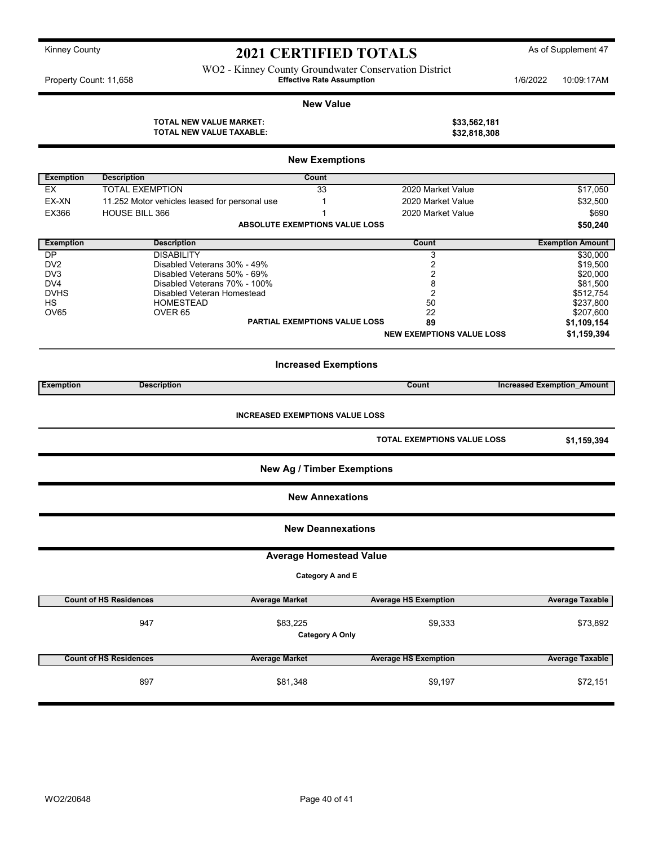WO2 - Kinney County Groundwater Conservation District Property Count: 11,658 **10:09:17AM** Effective Rate Assumption **1/6/2022 10:09:17AM** 

#### New Value

AL NEW VALUE MARKET:  $$33,562,181$ 

| TOTAL NEW VALUE MARKET:         |  |
|---------------------------------|--|
| <b>TOTAL NEW VALUE TAXABLE:</b> |  |

| 400,004,101  |
|--------------|
| \$32,818,308 |
|              |
|              |

|                  |                                               | <b>New Exemptions</b>                  |                                  |                                   |
|------------------|-----------------------------------------------|----------------------------------------|----------------------------------|-----------------------------------|
| <b>Exemption</b> | <b>Description</b>                            | <b>Count</b>                           |                                  |                                   |
| <b>EX</b>        | <b>TOTAL EXEMPTION</b>                        | 33                                     | 2020 Market Value                | \$17,050                          |
| EX-XN            | 11.252 Motor vehicles leased for personal use | $\mathbf{1}$                           | 2020 Market Value                | \$32,500                          |
| EX366            | HOUSE BILL 366                                | $\mathbf{1}$                           | 2020 Market Value                | \$690                             |
|                  |                                               | ABSOLUTE EXEMPTIONS VALUE LOSS         |                                  | \$50,240                          |
|                  |                                               |                                        |                                  |                                   |
| <b>Exemption</b> | <b>Description</b>                            |                                        | Count                            | <b>Exemption Amount</b>           |
| DP               | <b>DISABILITY</b>                             |                                        | 3                                | \$30,000                          |
| DV <sub>2</sub>  | Disabled Veterans 30% - 49%                   |                                        | 2                                | \$19,500                          |
| DV <sub>3</sub>  | Disabled Veterans 50% - 69%                   |                                        | 2                                | \$20,000                          |
| DV4              | Disabled Veterans 70% - 100%                  |                                        | 8                                | \$81,500                          |
| <b>DVHS</b>      | Disabled Veteran Homestead                    |                                        | $\overline{2}$                   | \$512,754                         |
| <b>HS</b>        | <b>HOMESTEAD</b>                              |                                        | 50                               | \$237,800                         |
| OV65             | OVER <sub>65</sub>                            |                                        | 22                               | \$207,600                         |
|                  |                                               | <b>PARTIAL EXEMPTIONS VALUE LOSS</b>   | 89                               | \$1,109,154                       |
|                  |                                               |                                        | <b>NEW EXEMPTIONS VALUE LOSS</b> | \$1,159,394                       |
|                  |                                               | <b>Increased Exemptions</b>            |                                  |                                   |
| <b>Exemption</b> | <b>Description</b>                            |                                        | Count                            | <b>Increased Exemption Amount</b> |
|                  |                                               | <b>INCREASED EXEMPTIONS VALUE LOSS</b> | TOTAL EXEMPTIONS VALUE LOSS      | \$1,159,394                       |
|                  |                                               | <b>New Ag / Timber Exemptions</b>      |                                  |                                   |
|                  |                                               | <b>New Annexations</b>                 |                                  |                                   |
|                  |                                               | <b>New Deannexations</b>               |                                  |                                   |
|                  |                                               | <b>Average Homestead Value</b>         |                                  |                                   |
|                  |                                               | Category A and E                       |                                  |                                   |
|                  |                                               |                                        |                                  |                                   |
|                  | <b>Count of HS Residences</b>                 | <b>Average Market</b>                  | <b>Average HS Exemption</b>      | <b>Average Taxable</b>            |
|                  | 947                                           | \$83,225<br><b>Category A Only</b>     | \$9,333                          | \$73,892                          |
|                  | <b>Count of HS Residences</b>                 | <b>Average Market</b>                  | <b>Average HS Exemption</b>      | <b>Average Taxable</b>            |
|                  | 897                                           | \$81,348                               | \$9,197                          | \$72,151                          |